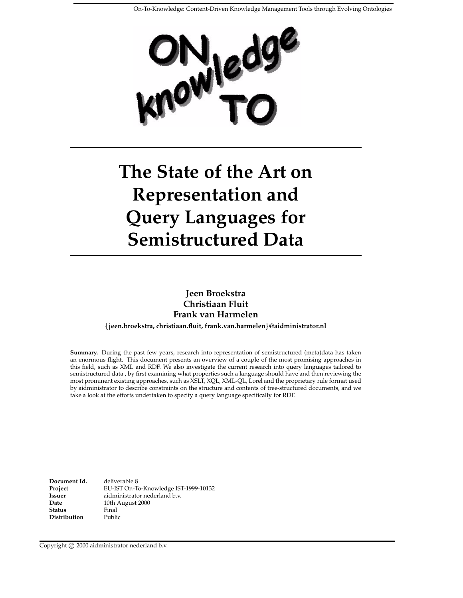

# **The State of the Art on Representation and Query Languages for Semistructured Data**

**Jeen Broekstra Christiaan Fluit Frank van Harmelen**

**jeen.broekstra, christiaan.fluit, frank.van.harmelen @aidministrator.nl**

**Summary.** During the past few years, research into representation of semistructured (meta)data has taken an enormous flight. This document presents an overview of a couple of the most promising approaches in this field, such as XML and RDF. We also investigate the current research into query languages tailored to semistructured data , by first examining what properties such a language should have and then reviewing the most prominent existing approaches, such as XSLT, XQL, XML-QL, Lorel and the proprietary rule format used by aidministrator to describe constraints on the structure and contents of tree-structured documents, and we take a look at the efforts undertaken to specify a query language specifically for RDF.

**Document Id. Project Issuer Date Status Distribution** deliverable 8 EU-IST On-To-Knowledge IST-1999-10132 aidministrator nederland b.v. 10th August 2000 Final Public

Copyright © 2000 aidministrator nederland b.v.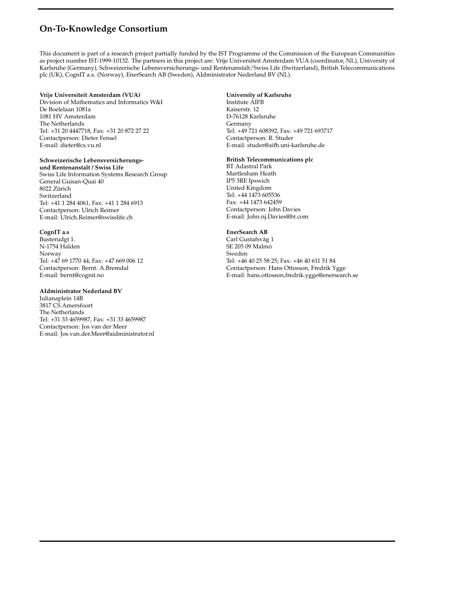## **On-To-Knowledge Consortium**

This document is part of a research project partially funded by the IST Programme of the Commission of the European Communities as project number IST-1999-10132. The partners in this project are: Vrije Universiteit Amsterdam VUA (coordinator, NL), University of Karlsruhe (Germany), Schweizerische Lebensversicherungs- und Rentenanstalt/Swiss Life (Switzerland), British Telecommunications plc (UK), CognIT a.s. (Norway), EnerSearch AB (Sweden), AIdministrator Nederland BV (NL).

#### **Vrije Universiteit Amsterdam (VUA)**

Division of Mathematics and Informatics W&I De Boelelaan 1081a 1081 HV Amsterdam The Netherlands Tel: +31 20 4447718, Fax: +31 20 872 27 22 Contactperson: Dieter Fensel E-mail: dieter@cs.vu.nl

#### **Schweizerische Lebensversicherungs-**

**und Rentenanstalt / Swiss Life** Swiss Life Information Systems Research Group General Guisan-Quai 40 8022 Zürich Switzerland Tel: +41 1 284 4061, Fax: +41 1 284 6913 Contactperson: Ulrich Reimer E-mail: Ulrich.Reimer@swisslife.ch

#### **CognIT a.s**

Busterudgt 1. N-1754 Halden Norway Tel: +47 69 1770 44, Fax: +47 669 006 12 Contactperson: Bernt. A.Bremdal E-mail: bernt@cognit.no

#### **AIdministrator Nederland BV**

Julianaplein 14B 3817 CS Amersfoort The Netherlands Tel: +31 33 4659987, Fax: +31 33 4659987 Contactperson: Jos van der Meer E-mail: Jos.van.der.Meer@aidministrator.nl

#### **University of Karlsruhe**

Institute AIFB Kaiserstr. 12 D-76128 Karlsruhe Germany Tel: +49 721 608392, Fax: +49 721 693717 Contactperson: R. Studer E-mail: studer@aifb.uni-karlsruhe.de

#### **British Telecommunications plc**

BT Adastral Park Martlesham Heath IP5 3RE Ipswich United Kingdom Tel: +44 1473 605536 Fax: +44 1473 642459 Contactperson: John Davies E-mail: John.nj.Davies@bt.com

#### **EnerSearch AB**

Carl Gustafsväg 1 SE 205 09 Malmö Sweden Tel: +46 40 25 58 25; Fax: +46 40 611 51 84 Contactperson: Hans Ottosson, Fredrik Ygge E-mail: hans.ottosson,fredrik.ygge@enersearch.se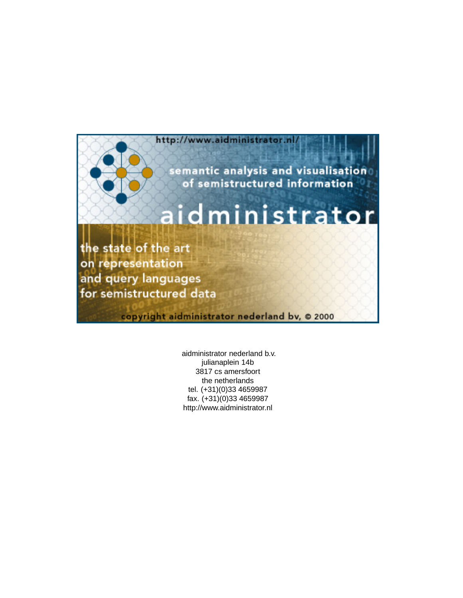

aidministrator nederland b.v. julianaplein 14b 3817 cs amersfoort the netherlands tel. (+31)(0)33 4659987 fax. (+31)(0)33 4659987 http://www.aidministrator.nl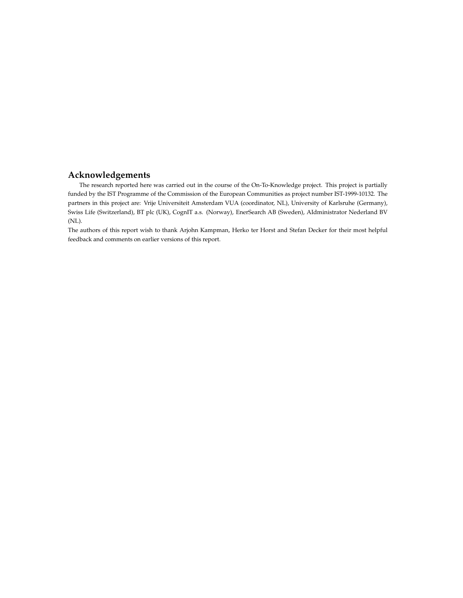### **Acknowledgements**

The research reported here was carried out in the course of the On-To-Knowledge project. This project is partially funded by the IST Programme of the Commission of the European Communities as project number IST-1999-10132. The partners in this project are: Vrije Universiteit Amsterdam VUA (coordinator, NL), University of Karlsruhe (Germany), Swiss Life (Switzerland), BT plc (UK), CognIT a.s. (Norway), EnerSearch AB (Sweden), AIdministrator Nederland BV (NL).

The authors of this report wish to thank Arjohn Kampman, Herko ter Horst and Stefan Decker for their most helpful feedback and comments on earlier versions of this report.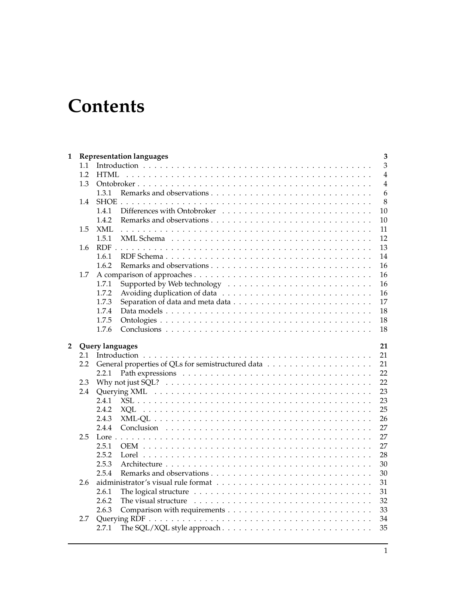# **Contents**

| 1              |     | <b>Representation languages</b><br>3 |  |  |  |  |  |
|----------------|-----|--------------------------------------|--|--|--|--|--|
|                | 1.1 | 3                                    |  |  |  |  |  |
|                | 1.2 | $\overline{4}$<br>HTML               |  |  |  |  |  |
|                | 1.3 | $\overline{4}$                       |  |  |  |  |  |
|                |     | 6<br>1.3.1                           |  |  |  |  |  |
|                | 1.4 | 8                                    |  |  |  |  |  |
|                |     | 1.4.1<br>10                          |  |  |  |  |  |
|                |     | 1.4.2<br>10                          |  |  |  |  |  |
|                | 1.5 | <b>XML</b><br>11                     |  |  |  |  |  |
|                |     | 12<br>1.5.1                          |  |  |  |  |  |
|                | 1.6 | 13                                   |  |  |  |  |  |
|                |     | 14<br>1.6.1                          |  |  |  |  |  |
|                |     | 16<br>1.6.2                          |  |  |  |  |  |
|                | 1.7 | 16                                   |  |  |  |  |  |
|                |     | 1.7.1<br>16                          |  |  |  |  |  |
|                |     | 1.7.2<br>16                          |  |  |  |  |  |
|                |     | 17<br>1.7.3                          |  |  |  |  |  |
|                |     | 18<br>1.7.4                          |  |  |  |  |  |
|                |     | 1.7.5<br>18                          |  |  |  |  |  |
|                |     | 18<br>1.7.6                          |  |  |  |  |  |
|                |     |                                      |  |  |  |  |  |
| $\overline{2}$ |     | Query languages<br>21                |  |  |  |  |  |
|                | 2.1 | 21                                   |  |  |  |  |  |
|                | 2.2 | 21                                   |  |  |  |  |  |
|                |     | 22<br>2.2.1                          |  |  |  |  |  |
|                | 2.3 | 22                                   |  |  |  |  |  |
|                | 2.4 | 23                                   |  |  |  |  |  |
|                |     | 2.4.1<br>23                          |  |  |  |  |  |
|                |     | 25<br>2.4.2<br>XOL                   |  |  |  |  |  |
|                |     | 26<br>2.4.3                          |  |  |  |  |  |
|                |     | 27<br>2.4.4                          |  |  |  |  |  |
|                | 2.5 | 27                                   |  |  |  |  |  |
|                |     | 2.5.1<br>27                          |  |  |  |  |  |
|                |     | 28<br>2.5.2                          |  |  |  |  |  |
|                |     | 2.5.3<br>30                          |  |  |  |  |  |
|                |     | 2.5.4<br>30                          |  |  |  |  |  |
|                | 2.6 | 31                                   |  |  |  |  |  |
|                |     | 2.6.1<br>31                          |  |  |  |  |  |
|                |     | 32<br>2.6.2                          |  |  |  |  |  |
|                |     | 33<br>2.6.3                          |  |  |  |  |  |
|                | 2.7 | 34                                   |  |  |  |  |  |
|                |     | 35                                   |  |  |  |  |  |
|                |     | 2.7.1                                |  |  |  |  |  |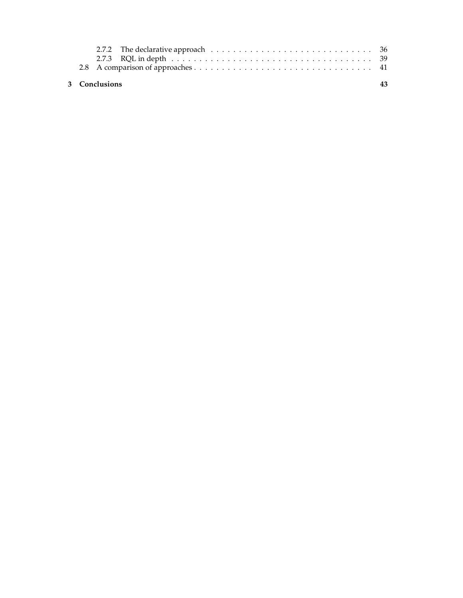|  | 3 Conclusions |  |
|--|---------------|--|
|  |               |  |
|  |               |  |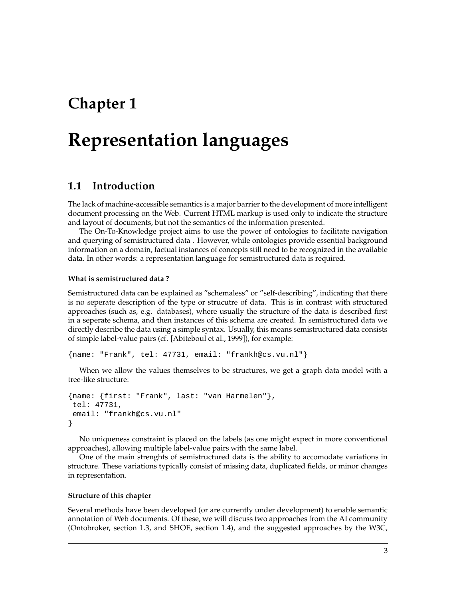## **Chapter 1**

## **Representation languages**

## **1.1 Introduction**

The lack of machine-accessible semantics is a major barrier to the development of more intelligent document processing on the Web. Current HTML markup is used only to indicate the structure and layout of documents, but not the semantics of the information presented.

The On-To-Knowledge project aims to use the power of ontologies to facilitate navigation and querying of semistructured data . However, while ontologies provide essential background information on a domain, factual instances of concepts still need to be recognized in the available data. In other words: a representation language for semistructured data is required.

#### **What is semistructured data ?**

Semistructured data can be explained as "schemaless" or "self-describing", indicating that there is no seperate description of the type or strucutre of data. This is in contrast with structured approaches (such as, e.g. databases), where usually the structure of the data is described first in a seperate schema, and then instances of this schema are created. In semistructured data we directly describe the data using a simple syntax. Usually, this means semistructured data consists of simple label-value pairs (cf. [Abiteboul et al., 1999]), for example:

{name: "Frank", tel: 47731, email: "frankh@cs.vu.nl"}

When we allow the values themselves to be structures, we get a graph data model with a tree-like structure:

```
{name: {first: "Frank", last: "van Harmelen"},
tel: 47731,
 email: "frankh@cs.vu.nl"
}
```
No uniqueness constraint is placed on the labels (as one might expect in more conventional approaches), allowing multiple label-value pairs with the same label.

One of the main strenghts of semistructured data is the ability to accomodate variations in structure. These variations typically consist of missing data, duplicated fields, or minor changes in representation.

#### **Structure of this chapter**

Several methods have been developed (or are currently under development) to enable semantic annotation of Web documents. Of these, we will discuss two approaches from the AI community (Ontobroker, section 1.3, and SHOE, section 1.4), and the suggested approaches by the W3C,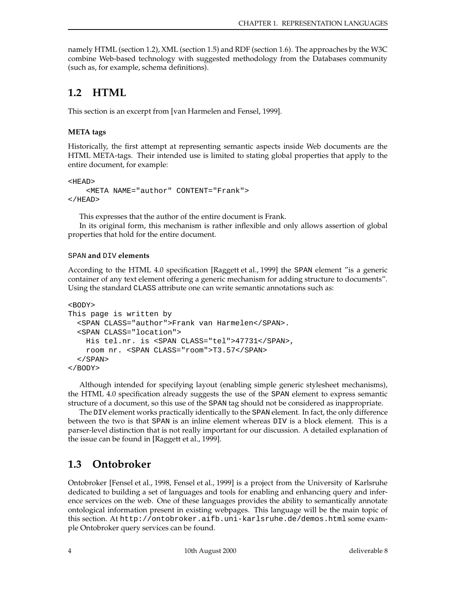namely HTML (section 1.2), XML (section 1.5) and RDF (section 1.6). The approaches by the W3C combine Web-based technology with suggested methodology from the Databases community (such as, for example, schema definitions).

## **1.2 HTML**

This section is an excerpt from [van Harmelen and Fensel, 1999].

#### **META tags**

Historically, the first attempt at representing semantic aspects inside Web documents are the HTML META-tags. Their intended use is limited to stating global properties that apply to the entire document, for example:

<HEAD>

```
<META NAME="author" CONTENT="Frank">
</HEAD>
```
This expresses that the author of the entire document is Frank.

In its original form, this mechanism is rather inflexible and only allows assertion of global properties that hold for the entire document.

#### SPAN **and** DIV **elements**

According to the HTML 4.0 specification [Raggett et al., 1999] the SPAN element "is a generic container of any text element offering a generic mechanism for adding structure to documents". Using the standard CLASS attribute one can write semantic annotations such as:

```
<BODY>
This page is written by
 <SPAN CLASS="author">Frank van Harmelen</SPAN>.
  <SPAN CLASS="location">
   His tel.nr. is <SPAN CLASS="tel">47731</SPAN>,
   room nr. <SPAN CLASS="room">T3.57</SPAN>
  </SPAN>
</BODY>
```
Although intended for specifying layout (enabling simple generic stylesheet mechanisms), the HTML 4.0 specification already suggests the use of the SPAN element to express semantic structure of a document, so this use of the SPAN tag should not be considered as inappropriate.

The DIV element works practically identically to the SPAN element. In fact, the only difference between the two is that SPAN is an inline element whereas DIV is a block element. This is a parser-level distinction that is not really important for our discussion. A detailed explanation of the issue can be found in [Raggett et al., 1999].

## **1.3 Ontobroker**

Ontobroker [Fensel et al., 1998, Fensel et al., 1999] is a project from the University of Karlsruhe dedicated to building a set of languages and tools for enabling and enhancing query and inference services on the web. One of these languages provides the ability to semantically annotate ontological information present in existing webpages. This language will be the main topic of this section. At http://ontobroker.aifb.uni-karlsruhe.de/demos.html some example Ontobroker query services can be found.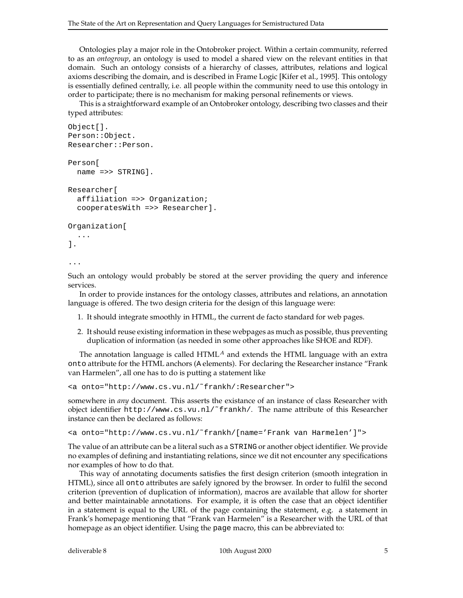Ontologies play a major role in the Ontobroker project. Within a certain community, referred to as an *ontogroup*, an ontology is used to model a shared view on the relevant entities in that domain. Such an ontology consists of a hierarchy of classes, attributes, relations and logical axioms describing the domain, and is described in Frame Logic [Kifer et al., 1995]. This ontology is essentially defined centrally, i.e. all people within the community need to use this ontology in order to participate; there is no mechanism for making personal refinements or views.

This is a straightforward example of an Ontobroker ontology, describing two classes and their typed attributes:

```
Object[].
Person::Object.
Researcher::Person.
Person[
  name =>> STRING].
Researcher[
  affiliation =>> Organization;
  cooperatesWith =>> Researcher].
Organization[
  ...
].
```

```
...
```
Such an ontology would probably be stored at the server providing the query and inference services.

In order to provide instances for the ontology classes, attributes and relations, an annotation language is offered. The two design criteria for the design of this language were:

- 1. It should integrate smoothly in HTML, the current de facto standard for web pages.
- 2. It should reuse existing information in these webpages as much as possible, thus preventing duplication of information (as needed in some other approaches like SHOE and RDF).

The annotation language is called  $HTML<sup>A</sup>$  and extends the HTML language with an extra onto attribute for the HTML anchors (A elements). For declaring the Researcher instance "Frank van Harmelen", all one has to do is putting a statement like

<a onto="http://www.cs.vu.nl/˜frankh/:Researcher">

somewhere in *any* document. This asserts the existance of an instance of class Researcher with object identifier http://www.cs.vu.nl/˜frankh/. The name attribute of this Researcher instance can then be declared as follows:

<a onto="http://www.cs.vu.nl/˜frankh/[name='Frank van Harmelen']">

The value of an attribute can be a literal such as a STRING or another object identifier. We provide no examples of defining and instantiating relations, since we dit not encounter any specifications nor examples of how to do that.

This way of annotating documents satisfies the first design criterion (smooth integration in HTML), since all onto attributes are safely ignored by the browser. In order to fulfil the second criterion (prevention of duplication of information), macros are available that allow for shorter and better maintainable annotations. For example, it is often the case that an object identifier in a statement is equal to the URL of the page containing the statement, e.g. a statement in Frank's homepage mentioning that "Frank van Harmelen" is a Researcher with the URL of that homepage as an object identifier. Using the page macro, this can be abbreviated to: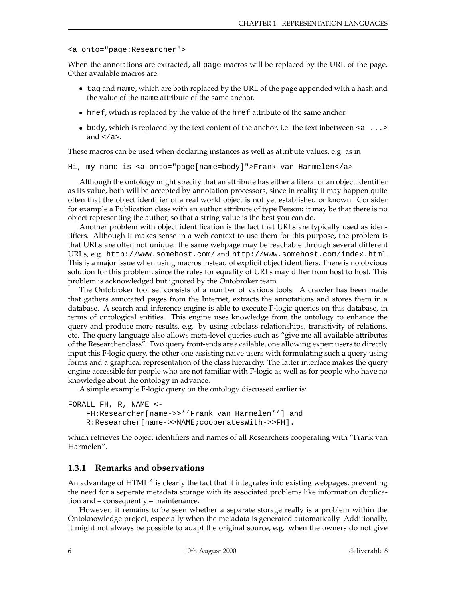```
<a onto="page:Researcher">
```
When the annotations are extracted, all page macros will be replaced by the URL of the page. Other available macros are:

- tag and name, which are both replaced by the URL of the page appended with a hash and the value of the name attribute of the same anchor.
- href, which is replaced by the value of the href attribute of the same anchor.
- body, which is replaced by the text content of the anchor, i.e. the text inbetween  $\langle a \rangle \ldots$ and  $\lt/a$ .

These macros can be used when declaring instances as well as attribute values, e.g. as in

```
Hi, my name is <a onto="page[name=body]">Frank van Harmelen</a>
```
Although the ontology might specify that an attribute has either a literal or an object identifier as its value, both will be accepted by annotation processors, since in reality it may happen quite often that the object identifier of a real world object is not yet established or known. Consider for example a Publication class with an author attribute of type Person: it may be that there is no object representing the author, so that a string value is the best you can do.

Another problem with object identification is the fact that URLs are typically used as identifiers. Although it makes sense in a web context to use them for this purpose, the problem is that URLs are often not unique: the same webpage may be reachable through several different URLs, e.g. http://www.somehost.com/ and http://www.somehost.com/index.html. This is a major issue when using macros instead of explicit object identifiers. There is no obvious solution for this problem, since the rules for equality of URLs may differ from host to host. This problem is acknowledged but ignored by the Ontobroker team.

The Ontobroker tool set consists of a number of various tools. A crawler has been made that gathers annotated pages from the Internet, extracts the annotations and stores them in a database. A search and inference engine is able to execute F-logic queries on this database, in terms of ontological entities. This engine uses knowledge from the ontology to enhance the query and produce more results, e.g. by using subclass relationships, transitivity of relations, etc. The query language also allows meta-level queries such as "give me all available attributes of the Researcher class". Two query front-ends are available, one allowing expert users to directly input this F-logic query, the other one assisting naive users with formulating such a query using forms and a graphical representation of the class hierarchy. The latter interface makes the query engine accessible for people who are not familiar with F-logic as well as for people who have no knowledge about the ontology in advance.

A simple example F-logic query on the ontology discussed earlier is:

```
FORALL FH, R, NAME <-
   FH:Researcher[name->>''Frank van Harmelen''] and
   R:Researcher[name->>NAME;cooperatesWith->>FH].
```
which retrieves the object identifiers and names of all Researchers cooperating with "Frank van Harmelen".

#### **1.3.1 Remarks and observations**

An advantage of  $HTML<sup>A</sup>$  is clearly the fact that it integrates into existing webpages, preventing the need for a seperate metadata storage with its associated problems like information duplication and – consequently – maintenance.

However, it remains to be seen whether a separate storage really is a problem within the Ontoknowledge project, especially when the metadata is generated automatically. Additionally, it might not always be possible to adapt the original source, e.g. when the owners do not give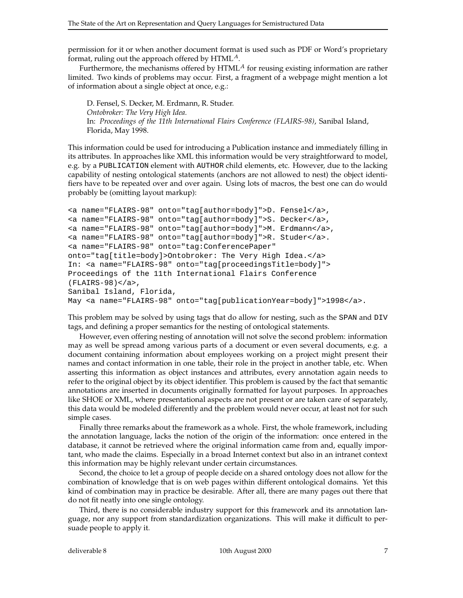permission for it or when another document format is used such as PDF or Word's proprietary format, ruling out the approach offered by  $HTML<sup>A</sup>$ .

Furthermore, the mechanisms offered by  $HTML<sup>A</sup>$  for reusing existing information are rather limited. Two kinds of problems may occur. First, a fragment of a webpage might mention a lot of information about a single object at once, e.g.:

D. Fensel, S. Decker, M. Erdmann, R. Studer. *Ontobroker: The Very High Idea.* In: *Proceedings of the 11th International Flairs Conference (FLAIRS-98)*, Sanibal Island, Florida, May 1998.

This information could be used for introducing a Publication instance and immediately filling in its attributes. In approaches like XML this information would be very straightforward to model, e.g. by a PUBLICATION element with AUTHOR child elements, etc. However, due to the lacking capability of nesting ontological statements (anchors are not allowed to nest) the object identifiers have to be repeated over and over again. Using lots of macros, the best one can do would probably be (omitting layout markup):

```
<a name="FLAIRS-98" onto="tag[author=body]">D. Fensel</a>,
<a name="FLAIRS-98" onto="tag[author=body]">S. Decker</a>,
<a name="FLAIRS-98" onto="tag[author=body]">M. Erdmann</a>,
<a name="FLAIRS-98" onto="tag[author=body]">R. Studer</a>.
<a name="FLAIRS-98" onto="tag:ConferencePaper"
onto="tag[title=body]>Ontobroker: The Very High Idea.</a>
In: <a name="FLAIRS-98" onto="tag[proceedingsTitle=body]">
Proceedings of the 11th International Flairs Conference
(FLAIRS-98)</a>,
Sanibal Island, Florida,
May <a name="FLAIRS-98" onto="tag[publicationYear=body]">1998</a>.
```
This problem may be solved by using tags that do allow for nesting, such as the SPAN and DIV tags, and defining a proper semantics for the nesting of ontological statements.

However, even offering nesting of annotation will not solve the second problem: information may as well be spread among various parts of a document or even several documents, e.g. a document containing information about employees working on a project might present their names and contact information in one table, their role in the project in another table, etc. When asserting this information as object instances and attributes, every annotation again needs to refer to the original object by its object identifier. This problem is caused by the fact that semantic annotations are inserted in documents originally formatted for layout purposes. In approaches like SHOE or XML, where presentational aspects are not present or are taken care of separately, this data would be modeled differently and the problem would never occur, at least not for such simple cases.

Finally three remarks about the framework as a whole. First, the whole framework, including the annotation language, lacks the notion of the origin of the information: once entered in the database, it cannot be retrieved where the original information came from and, equally important, who made the claims. Especially in a broad Internet context but also in an intranet context this information may be highly relevant under certain circumstances.

Second, the choice to let a group of people decide on a shared ontology does not allow for the combination of knowledge that is on web pages within different ontological domains. Yet this kind of combination may in practice be desirable. After all, there are many pages out there that do not fit neatly into one single ontology.

Third, there is no considerable industry support for this framework and its annotation language, nor any support from standardization organizations. This will make it difficult to persuade people to apply it.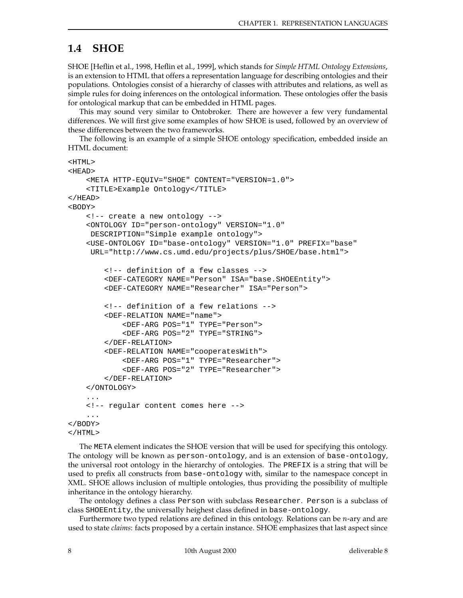## **1.4 SHOE**

SHOE [Heflin et al., 1998, Heflin et al., 1999], which stands for *Simple HTML Ontology Extensions*, is an extension to HTML that offers a representation language for describing ontologies and their populations. Ontologies consist of a hierarchy of classes with attributes and relations, as well as simple rules for doing inferences on the ontological information. These ontologies offer the basis for ontological markup that can be embedded in HTML pages.

This may sound very similar to Ontobroker. There are however a few very fundamental differences. We will first give some examples of how SHOE is used, followed by an overview of these differences between the two frameworks.

The following is an example of a simple SHOE ontology specification, embedded inside an HTML document:

```
<HTML>
<HEAD>
    <META HTTP-EQUIV="SHOE" CONTENT="VERSION=1.0">
    <TITLE>Example Ontology</TITLE>
</HEAD>
<BODY>
    <!-- create a new ontology -->
    <ONTOLOGY ID="person-ontology" VERSION="1.0"
    DESCRIPTION="Simple example ontology">
    <USE-ONTOLOGY ID="base-ontology" VERSION="1.0" PREFIX="base"
    URL="http://www.cs.umd.edu/projects/plus/SHOE/base.html">
        <!-- definition of a few classes -->
        <DEF-CATEGORY NAME="Person" ISA="base.SHOEEntity">
        <DEF-CATEGORY NAME="Researcher" ISA="Person">
        <!-- definition of a few relations -->
        <DEF-RELATION NAME="name">
            <DEF-ARG POS="1" TYPE="Person">
            <DEF-ARG POS="2" TYPE="STRING">
        </DEF-RELATION>
        <DEF-RELATION NAME="cooperatesWith">
            <DEF-ARG POS="1" TYPE="Researcher">
            <DEF-ARG POS="2" TYPE="Researcher">
        </DEF-RELATION>
    </ONTOLOGY>
    ...
    <!-- regular content comes here -->
    ...
</BODY>
</HTML>
```
The META element indicates the SHOE version that will be used for specifying this ontology. The ontology will be known as person-ontology, and is an extension of base-ontology, the universal root ontology in the hierarchy of ontologies. The PREFIX is a string that will be used to prefix all constructs from base-ontology with, similar to the namespace concept in XML. SHOE allows inclusion of multiple ontologies, thus providing the possibility of multiple inheritance in the ontology hierarchy.

The ontology defines a class Person with subclass Researcher. Person is a subclass of class SHOEEntity, the universally heighest class defined in base-ontology.

Furthermore two typed relations are defined in this ontology. Relations can be  $n$ -ary and are used to state *claims*: facts proposed by a certain instance. SHOE emphasizes that last aspect since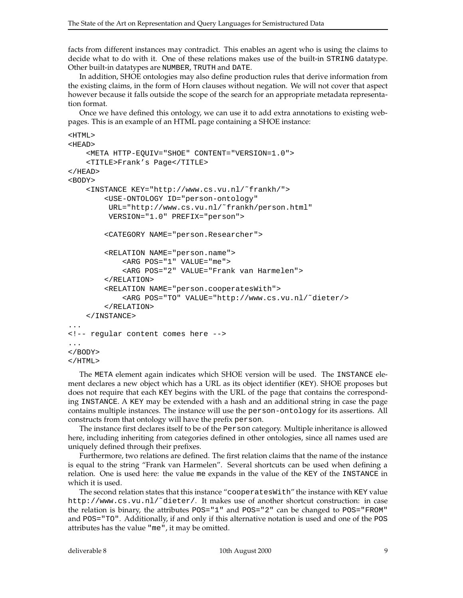facts from different instances may contradict. This enables an agent who is using the claims to decide what to do with it. One of these relations makes use of the built-in STRING datatype. Other built-in datatypes are NUMBER, TRUTH and DATE.

In addition, SHOE ontologies may also define production rules that derive information from the existing claims, in the form of Horn clauses without negation. We will not cover that aspect however because it falls outside the scope of the search for an appropriate metadata representation format.

Once we have defined this ontology, we can use it to add extra annotations to existing webpages. This is an example of an HTML page containing a SHOE instance:

```
<HTML>
<HEAD><META HTTP-EQUIV="SHOE" CONTENT="VERSION=1.0">
    <TITLE>Frank's Page</TITLE>
</HEAD>
<BODY>
    <INSTANCE KEY="http://www.cs.vu.nl/˜frankh/">
        <USE-ONTOLOGY ID="person-ontology"
         URL="http://www.cs.vu.nl/˜frankh/person.html"
         VERSION="1.0" PREFIX="person">
        <CATEGORY NAME="person.Researcher">
        <RELATION NAME="person.name">
            <ARG POS="1" VALUE="me">
            <ARG POS="2" VALUE="Frank van Harmelen">
        </RELATION>
        <RELATION NAME="person.cooperatesWith">
            <ARG POS="TO" VALUE="http://www.cs.vu.nl/˜dieter/>
        </RELATION>
    </INSTANCE>
...
<!-- regular content comes here -->
...
</BODY>
</HTML>
```
The META element again indicates which SHOE version will be used. The INSTANCE element declares a new object which has a URL as its object identifier (KEY). SHOE proposes but does not require that each KEY begins with the URL of the page that contains the corresponding INSTANCE. A KEY may be extended with a hash and an additional string in case the page contains multiple instances. The instance will use the person-ontology for its assertions. All constructs from that ontology will have the prefix person.

The instance first declares itself to be of the Person category. Multiple inheritance is allowed here, including inheriting from categories defined in other ontologies, since all names used are uniquely defined through their prefixes.

Furthermore, two relations are defined. The first relation claims that the name of the instance is equal to the string "Frank van Harmelen". Several shortcuts can be used when defining a relation. One is used here: the value me expands in the value of the KEY of the INSTANCE in which it is used.

The second relation states that this instance "cooperatesWith" the instance with KEY value http://www.cs.vu.nl/˜dieter/. It makes use of another shortcut construction: in case the relation is binary, the attributes POS="1" and POS="2" can be changed to POS="FROM" and POS="TO". Additionally, if and only if this alternative notation is used and one of the POS attributes has the value "me", it may be omitted.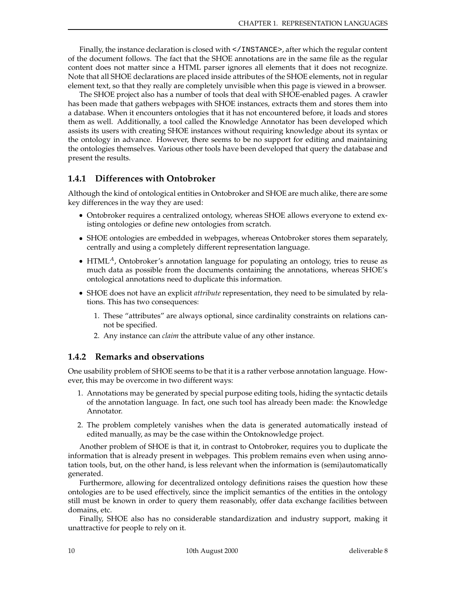Finally, the instance declaration is closed with </INSTANCE>, after which the regular content of the document follows. The fact that the SHOE annotations are in the same file as the regular content does not matter since a HTML parser ignores all elements that it does not recognize. Note that all SHOE declarations are placed inside attributes of the SHOE elements, not in regular element text, so that they really are completely unvisible when this page is viewed in a browser.

The SHOE project also has a number of tools that deal with SHOE-enabled pages. A crawler has been made that gathers webpages with SHOE instances, extracts them and stores them into a database. When it encounters ontologies that it has not encountered before, it loads and stores them as well. Additionally, a tool called the Knowledge Annotator has been developed which assists its users with creating SHOE instances without requiring knowledge about its syntax or the ontology in advance. However, there seems to be no support for editing and maintaining the ontologies themselves. Various other tools have been developed that query the database and present the results.

#### **1.4.1 Differences with Ontobroker**

Although the kind of ontological entities in Ontobroker and SHOE are much alike, there are some key differences in the way they are used:

- Ontobroker requires a centralized ontology, whereas SHOE allows everyone to extend existing ontologies or define new ontologies from scratch.
- SHOE ontologies are embedded in webpages, whereas Ontobroker stores them separately, centrally and using a completely different representation language.
- HTML $^A$ , Ontobroker's annotation language for populating an ontology, tries to reuse as much data as possible from the documents containing the annotations, whereas SHOE's ontological annotations need to duplicate this information.
- SHOE does not have an explicit *attribute* representation, they need to be simulated by relations. This has two consequences:
	- 1. These "attributes" are always optional, since cardinality constraints on relations cannot be specified.
	- 2. Any instance can *claim* the attribute value of any other instance.

#### **1.4.2 Remarks and observations**

One usability problem of SHOE seems to be that it is a rather verbose annotation language. However, this may be overcome in two different ways:

- 1. Annotations may be generated by special purpose editing tools, hiding the syntactic details of the annotation language. In fact, one such tool has already been made: the Knowledge Annotator.
- 2. The problem completely vanishes when the data is generated automatically instead of edited manually, as may be the case within the Ontoknowledge project.

Another problem of SHOE is that it, in contrast to Ontobroker, requires you to duplicate the information that is already present in webpages. This problem remains even when using annotation tools, but, on the other hand, is less relevant when the information is (semi)automatically generated.

Furthermore, allowing for decentralized ontology definitions raises the question how these ontologies are to be used effectively, since the implicit semantics of the entities in the ontology still must be known in order to query them reasonably, offer data exchange facilities between domains, etc.

Finally, SHOE also has no considerable standardization and industry support, making it unattractive for people to rely on it.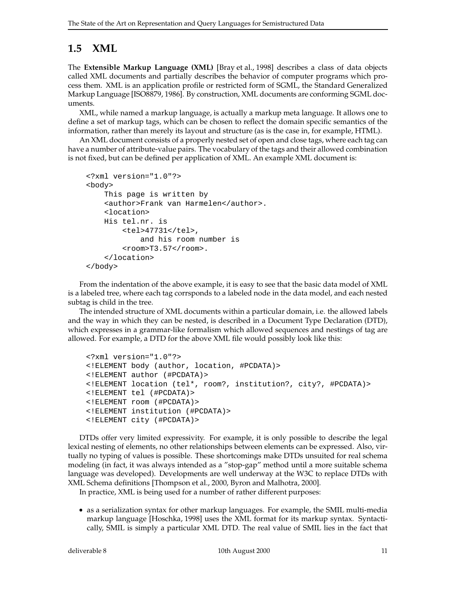## **1.5 XML**

The **Extensible Markup Language (XML)** [Bray et al., 1998] describes a class of data objects called XML documents and partially describes the behavior of computer programs which process them. XML is an application profile or restricted form of SGML, the Standard Generalized Markup Language [ISO8879, 1986]. By construction, XML documents are conforming SGML documents.

XML, while named a markup language, is actually a markup meta language. It allows one to define a set of markup tags, which can be chosen to reflect the domain specific semantics of the information, rather than merely its layout and structure (as is the case in, for example, HTML).

An XML document consists of a properly nested set of open and close tags, where each tag can have a number of attribute-value pairs. The vocabulary of the tags and their allowed combination is not fixed, but can be defined per application of XML. An example XML document is:

```
<?xml version="1.0"?>
<body>
    This page is written by
    <author>Frank van Harmelen</author>.
    <location>
    His tel.nr. is
        <tel>47731</tel>,
            and his room number is
        <room>T3.57</room>.
    </location>
</body>
```
From the indentation of the above example, it is easy to see that the basic data model of XML is a labeled tree, where each tag corrsponds to a labeled node in the data model, and each nested subtag is child in the tree.

The intended structure of XML documents within a particular domain, i.e. the allowed labels and the way in which they can be nested, is described in a Document Type Declaration (DTD), which expresses in a grammar-like formalism which allowed sequences and nestings of tag are allowed. For example, a DTD for the above XML file would possibly look like this:

```
<?xml version="1.0"?>
<!ELEMENT body (author, location, #PCDATA)>
<!ELEMENT author (#PCDATA)>
<!ELEMENT location (tel*, room?, institution?, city?, #PCDATA)>
<!ELEMENT tel (#PCDATA)>
<!ELEMENT room (#PCDATA)>
<!ELEMENT institution (#PCDATA)>
<!ELEMENT city (#PCDATA)>
```
DTDs offer very limited expressivity. For example, it is only possible to describe the legal lexical nesting of elements, no other relationships between elements can be expressed. Also, virtually no typing of values is possible. These shortcomings make DTDs unsuited for real schema modeling (in fact, it was always intended as a "stop-gap" method until a more suitable schema language was developed). Developments are well underway at the W3C to replace DTDs with XML Schema definitions [Thompson et al., 2000, Byron and Malhotra, 2000].

In practice, XML is being used for a number of rather different purposes:

 as a serialization syntax for other markup languages. For example, the SMIL multi-media markup language [Hoschka, 1998] uses the XML format for its markup syntax. Syntactically, SMIL is simply a particular XML DTD. The real value of SMIL lies in the fact that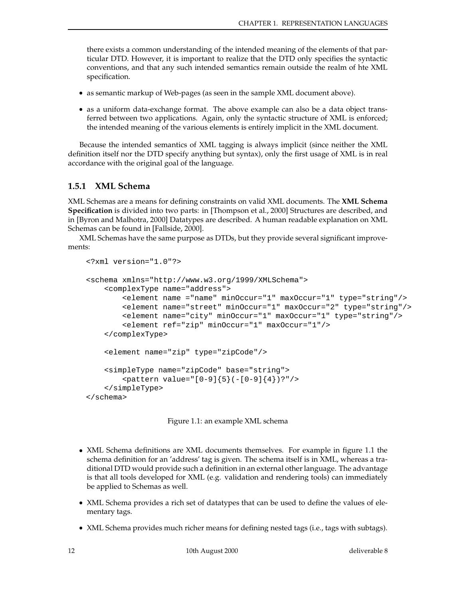there exists a common understanding of the intended meaning of the elements of that particular DTD. However, it is important to realize that the DTD only specifies the syntactic conventions, and that any such intended semantics remain outside the realm of hte XML specification.

- as semantic markup of Web-pages (as seen in the sample XML document above).
- as a uniform data-exchange format. The above example can also be a data object transferred between two applications. Again, only the syntactic structure of XML is enforced; the intended meaning of the various elements is entirely implicit in the XML document.

Because the intended semantics of XML tagging is always implicit (since neither the XML definition itself nor the DTD specify anything but syntax), only the first usage of XML is in real accordance with the original goal of the language.

#### **1.5.1 XML Schema**

XML Schemas are a means for defining constraints on valid XML documents. The **XML Schema Specification** is divided into two parts: in [Thompson et al., 2000] Structures are described, and in [Byron and Malhotra, 2000] Datatypes are described. A human readable explanation on XML Schemas can be found in [Fallside, 2000].

XML Schemas have the same purpose as DTDs, but they provide several significant improvements:

```
<?xml version="1.0"?>
<schema xmlns="http://www.w3.org/1999/XMLSchema">
    <complexType name="address">
        <element name ="name" minOccur="1" maxOccur="1" type="string"/>
        <element name="street" minOccur="1" maxOccur="2" type="string"/>
        <element name="city" minOccur="1" maxOccur="1" type="string"/>
        <element ref="zip" minOccur="1" maxOccur="1"/>
    </complexType>
    <element name="zip" type="zipCode"/>
    <simpleType name="zipCode" base="string">
        <pattern value="[0-9]{5}(-[0-9]{4})?"/>
    </simpleType>
</schema>
```
Figure 1.1: an example XML schema

- XML Schema definitions are XML documents themselves. For example in figure 1.1 the schema definition for an 'address' tag is given. The schema itself is in XML, whereas a traditional DTD would provide such a definition in an external other language. The advantage is that all tools developed for XML (e.g. validation and rendering tools) can immediately be applied to Schemas as well.
- XML Schema provides a rich set of datatypes that can be used to define the values of elementary tags.
- XML Schema provides much richer means for defining nested tags (i.e., tags with subtags).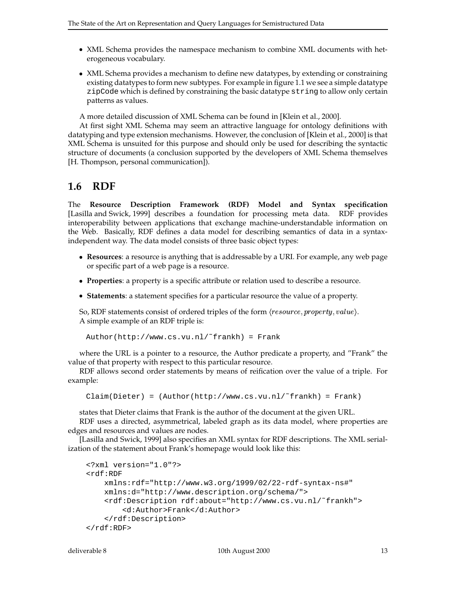- XML Schema provides the namespace mechanism to combine XML documents with heterogeneous vocabulary.
- XML Schema provides a mechanism to define new datatypes, by extending or constraining existing datatypes to form new subtypes. For example in figure 1.1 we see a simple datatype zipCode which is defined by constraining the basic datatype string to allow only certain patterns as values.

A more detailed discussion of XML Schema can be found in [Klein et al., 2000].

At first sight XML Schema may seem an attractive language for ontology definitions with datatyping and type extension mechanisms. However, the conclusion of [Klein et al., 2000] is that XML Schema is unsuited for this purpose and should only be used for describing the syntactic structure of documents (a conclusion supported by the developers of XML Schema themselves [H. Thompson, personal communication]).

## **1.6 RDF**

The **Resource Description Framework (RDF) Model and Syntax specification** [Lasilla and Swick, 1999] describes a foundation for processing meta data. RDF provides interoperability between applications that exchange machine-understandable information on the Web. Basically, RDF defines a data model for describing semantics of data in a syntaxindependent way. The data model consists of three basic object types:

- **Resources**: a resource is anything that is addressable by a URI. For example, any web page or specific part of a web page is a resource.
- **Properties**: a property is a specific attribute or relation used to describe a resource.
- **Statements**: a statement specifies for a particular resource the value of a property.

So, RDF statements consist of ordered triples of the form  $\langle resource, property, value \rangle$ . A simple example of an RDF triple is:

```
Author(http://www.cs.vu.nl/˜frankh) = Frank
```
where the URL is a pointer to a resource, the Author predicate a property, and "Frank" the value of that property with respect to this particular resource.

RDF allows second order statements by means of reification over the value of a triple. For example:

Claim(Dieter) = (Author(http://www.cs.vu.nl/˜frankh) = Frank)

states that Dieter claims that Frank is the author of the document at the given URL.

RDF uses a directed, asymmetrical, labeled graph as its data model, where properties are edges and resources and values are nodes.

[Lasilla and Swick, 1999] also specifies an XML syntax for RDF descriptions. The XML serialization of the statement about Frank's homepage would look like this:

```
<?xml version="1.0"?>
<rdf:RDF
    xmlns:rdf="http://www.w3.org/1999/02/22-rdf-syntax-ns#"
    xmlns:d="http://www.description.org/schema/">
    <rdf:Description rdf:about="http://www.cs.vu.nl/˜frankh">
        <d:Author>Frank</d:Author>
    </rdf:Description>
\langle \forallrdf : RDF>
```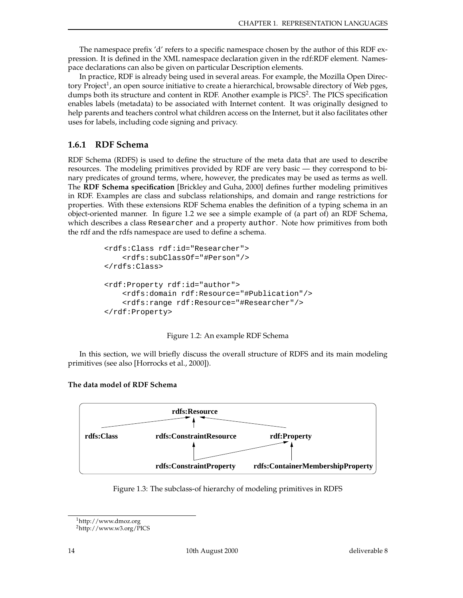The namespace prefix 'd' refers to a specific namespace chosen by the author of this RDF expression. It is defined in the XML namespace declaration given in the rdf:RDF element. Namespace declarations can also be given on particular Description elements.

In practice, RDF is already being used in several areas. For example, the Mozilla Open Directory Project<sup>1</sup>, an open source initiative to create a hierarchical, browsable directory of Web pges, dumps both its structure and content in RDF. Another example is PICS<sup>2</sup>. The PICS specification enables labels (metadata) to be associated with Internet content. It was originally designed to help parents and teachers control what children access on the Internet, but it also facilitates other uses for labels, including code signing and privacy.

### **1.6.1 RDF Schema**

RDF Schema (RDFS) is used to define the structure of the meta data that are used to describe resources. The modeling primitives provided by RDF are very basic — they correspond to binary predicates of ground terms, where, however, the predicates may be used as terms as well. The **RDF Schema specification** [Brickley and Guha, 2000] defines further modeling primitives in RDF. Examples are class and subclass relationships, and domain and range restrictions for properties. With these extensions RDF Schema enables the definition of a typing schema in an object-oriented manner. In figure 1.2 we see a simple example of (a part of) an RDF Schema, which describes a class Researcher and a property author. Note how primitives from both the rdf and the rdfs namespace are used to define a schema.

```
<rdfs:Class rdf:id="Researcher">
   <rdfs:subClassOf="#Person"/>
</rdfs:Class>
<rdf:Property rdf:id="author">
   <rdfs:domain rdf:Resource="#Publication"/>
    <rdfs:range rdf:Resource="#Researcher"/>
</rdf:Property>
```


In this section, we will briefly discuss the overall structure of RDFS and its main modeling primitives (see also [Horrocks et al., 2000]).



#### **The data model of RDF Schema**



<sup>1</sup>http://www.dmoz.org

<sup>2</sup>http://www.w3.org/PICS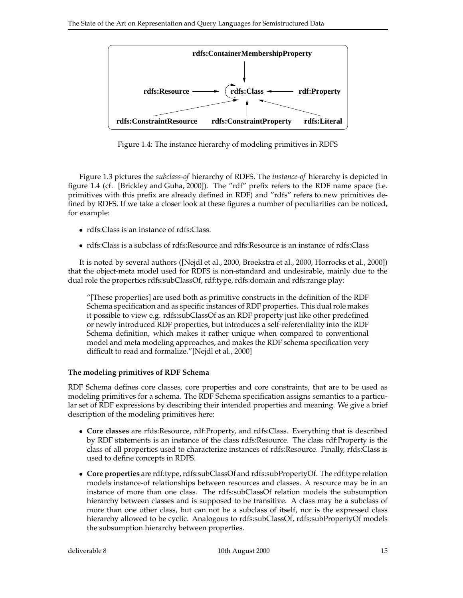

Figure 1.4: The instance hierarchy of modeling primitives in RDFS

Figure 1.3 pictures the *subclass-of* hierarchy of RDFS. The *instance-of* hierarchy is depicted in figure 1.4 (cf. [Brickley and Guha, 2000]). The "rdf" prefix refers to the RDF name space (i.e. primitives with this prefix are already defined in RDF) and "rdfs" refers to new primitives defined by RDFS. If we take a closer look at these figures a number of peculiarities can be noticed, for example:

- rdfs:Class is an instance of rdfs:Class.
- rdfs:Class is a subclass of rdfs:Resource and rdfs:Resource is an instance of rdfs:Class

It is noted by several authors ([Nejdl et al., 2000, Broekstra et al., 2000, Horrocks et al., 2000]) that the object-meta model used for RDFS is non-standard and undesirable, mainly due to the dual role the properties rdfs:subClassOf, rdf:type, rdfs:domain and rdfs:range play:

"[These properties] are used both as primitive constructs in the definition of the RDF Schema specification and as specific instances of RDF properties. This dual role makes it possible to view e.g. rdfs:subClassOf as an RDF property just like other predefined or newly introduced RDF properties, but introduces a self-referentiality into the RDF Schema definition, which makes it rather unique when compared to conventional model and meta modeling approaches, and makes the RDF schema specification very difficult to read and formalize."[Nejdl et al., 2000]

#### **The modeling primitives of RDF Schema**

RDF Schema defines core classes, core properties and core constraints, that are to be used as modeling primitives for a schema. The RDF Schema specification assigns semantics to a particular set of RDF expressions by describing their intended properties and meaning. We give a brief description of the modeling primitives here:

- **Core classes** are rfds:Resource, rdf:Property, and rdfs:Class. Everything that is described by RDF statements is an instance of the class rdfs:Resource. The class rdf:Property is the class of all properties used to characterize instances of rdfs:Resource. Finally, rfds:Class is used to define concepts in RDFS.
- **Core properties** are rdf:type, rdfs:subClassOf and rdfs:subPropertyOf. The rdf:type relation models instance-of relationships between resources and classes. A resource may be in an instance of more than one class. The rdfs:subClassOf relation models the subsumption hierarchy between classes and is supposed to be transitive. A class may be a subclass of more than one other class, but can not be a subclass of itself, nor is the expressed class hierarchy allowed to be cyclic. Analogous to rdfs:subClassOf, rdfs:subPropertyOf models the subsumption hierarchy between properties.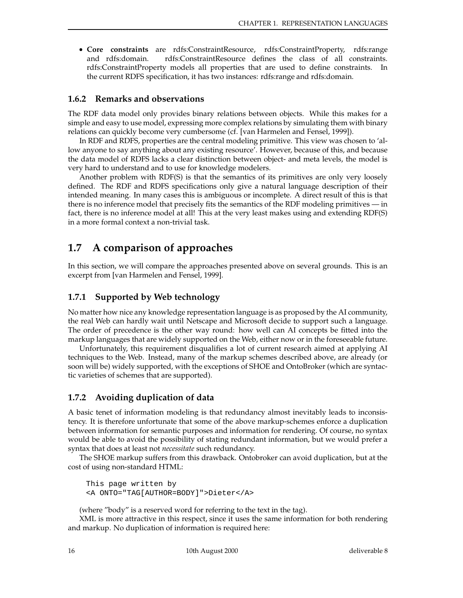**Core constraints** are rdfs:ConstraintResource, rdfs:ConstraintProperty, rdfs:range and rdfs:domain. rdfs:ConstraintResource defines the class of all constraints. rdfs:ConstraintProperty models all properties that are used to define constraints. In the current RDFS specification, it has two instances: rdfs:range and rdfs:domain.

#### **1.6.2 Remarks and observations**

The RDF data model only provides binary relations between objects. While this makes for a simple and easy to use model, expressing more complex relations by simulating them with binary relations can quickly become very cumbersome (cf. [van Harmelen and Fensel, 1999]).

In RDF and RDFS, properties are the central modeling primitive. This view was chosen to 'allow anyone to say anything about any existing resource'. However, because of this, and because the data model of RDFS lacks a clear distinction between object- and meta levels, the model is very hard to understand and to use for knowledge modelers.

Another problem with RDF(S) is that the semantics of its primitives are only very loosely defined. The RDF and RDFS specifications only give a natural language description of their intended meaning. In many cases this is ambiguous or incomplete. A direct result of this is that there is no inference model that precisely fits the semantics of the RDF modeling primitives — in fact, there is no inference model at all! This at the very least makes using and extending RDF(S) in a more formal context a non-trivial task.

## **1.7 A comparison of approaches**

In this section, we will compare the approaches presented above on several grounds. This is an excerpt from [van Harmelen and Fensel, 1999].

#### **1.7.1 Supported by Web technology**

No matter how nice any knowledge representation language is as proposed by the AI community, the real Web can hardly wait until Netscape and Microsoft decide to support such a language. The order of precedence is the other way round: how well can AI concepts be fitted into the markup languages that are widely supported on the Web, either now or in the foreseeable future.

Unfortunately, this requirement disqualifies a lot of current research aimed at applying AI techniques to the Web. Instead, many of the markup schemes described above, are already (or soon will be) widely supported, with the exceptions of SHOE and OntoBroker (which are syntactic varieties of schemes that are supported).

#### **1.7.2 Avoiding duplication of data**

A basic tenet of information modeling is that redundancy almost inevitably leads to inconsistency. It is therefore unfortunate that some of the above markup-schemes enforce a duplication between information for semantic purposes and information for rendering. Of course, no syntax would be able to avoid the possibility of stating redundant information, but we would prefer a syntax that does at least not *necessitate* such redundancy.

The SHOE markup suffers from this drawback. Ontobroker can avoid duplication, but at the cost of using non-standard HTML:

This page written by <A ONTO="TAG[AUTHOR=BODY]">Dieter</A>

(where "body" is a reserved word for referring to the text in the tag).

XML is more attractive in this respect, since it uses the same information for both rendering and markup. No duplication of information is required here: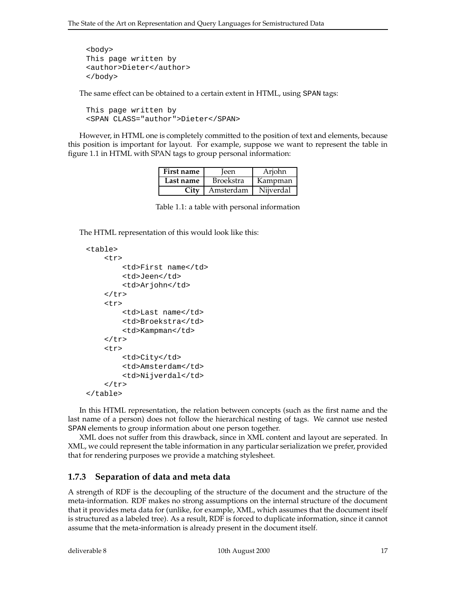```
<body>
This page written by
<author>Dieter</author>
</body>
```
The same effect can be obtained to a certain extent in HTML, using SPAN tags:

```
This page written by
<SPAN CLASS="author">Dieter</SPAN>
```
However, in HTML one is completely committed to the position of text and elements, because this position is important for layout. For example, suppose we want to represent the table in figure 1.1 in HTML with SPAN tags to group personal information:

| First name | leen             | Arjohn    |
|------------|------------------|-----------|
| Last name  | <b>Broekstra</b> | Kampman   |
| City       | Amsterdam        | Nijverdal |

Table 1.1: a table with personal information

The HTML representation of this would look like this:

```
<table>
    <+r><td>First name</td>
         <td>Jeen</td>
         <td>Arjohn</td>
    \langletr>
    <tr>
         <td>Last name</td>
         <td>Broekstra</td>
         <td>Kampman</td>
    \langletr>
    <tr>
         <td>City</td>
         <td>Amsterdam</td>
         <td>Nijverdal</td>
    \langletr>
</table>
```
In this HTML representation, the relation between concepts (such as the first name and the last name of a person) does not follow the hierarchical nesting of tags. We cannot use nested SPAN elements to group information about one person together.

XML does not suffer from this drawback, since in XML content and layout are seperated. In XML, we could represent the table information in any particular serialization we prefer, provided that for rendering purposes we provide a matching stylesheet.

#### **1.7.3 Separation of data and meta data**

A strength of RDF is the decoupling of the structure of the document and the structure of the meta-information. RDF makes no strong assumptions on the internal structure of the document that it provides meta data for (unlike, for example, XML, which assumes that the document itself is structured as a labeled tree). As a result, RDF is forced to duplicate information, since it cannot assume that the meta-information is already present in the document itself.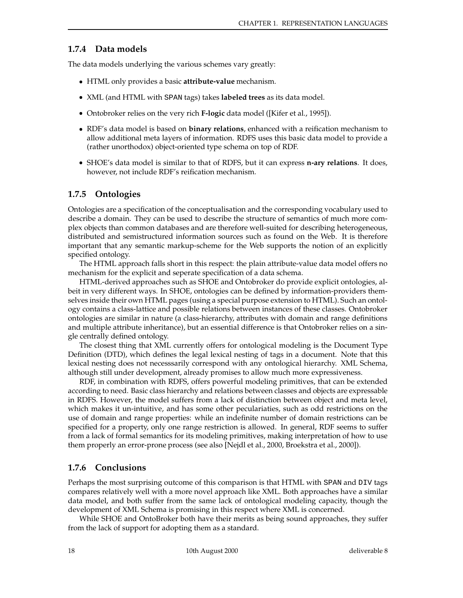#### **1.7.4 Data models**

The data models underlying the various schemes vary greatly:

- HTML only provides a basic **attribute-value** mechanism.
- XML (and HTML with SPAN tags) takes **labeled trees** as its data model.
- Ontobroker relies on the very rich **F-logic** data model ([Kifer et al., 1995]).
- RDF's data model is based on **binary relations**, enhanced with a reification mechanism to allow additional meta layers of information. RDFS uses this basic data model to provide a (rather unorthodox) object-oriented type schema on top of RDF.
- SHOE's data model is similar to that of RDFS, but it can express **n-ary relations**. It does, however, not include RDF's reification mechanism.

#### **1.7.5 Ontologies**

Ontologies are a specification of the conceptualisation and the corresponding vocabulary used to describe a domain. They can be used to describe the structure of semantics of much more complex objects than common databases and are therefore well-suited for describing heterogeneous, distributed and semistructured information sources such as found on the Web. It is therefore important that any semantic markup-scheme for the Web supports the notion of an explicitly specified ontology.

The HTML approach falls short in this respect: the plain attribute-value data model offers no mechanism for the explicit and seperate specification of a data schema.

HTML-derived approaches such as SHOE and Ontobroker do provide explicit ontologies, albeit in very different ways. In SHOE, ontologies can be defined by information-providers themselves inside their own HTML pages (using a special purpose extension to HTML). Such an ontology contains a class-lattice and possible relations between instances of these classes. Ontobroker ontologies are similar in nature (a class-hierarchy, attributes with domain and range definitions and multiple attribute inheritance), but an essential difference is that Ontobroker relies on a single centrally defined ontology.

The closest thing that XML currently offers for ontological modeling is the Document Type Definition (DTD), which defines the legal lexical nesting of tags in a document. Note that this lexical nesting does not necesssarily correspond with any ontological hierarchy. XML Schema, although still under development, already promises to allow much more expressiveness.

RDF, in combination with RDFS, offers powerful modeling primitives, that can be extended according to need. Basic class hierarchy and relations between classes and objects are expressable in RDFS. However, the model suffers from a lack of distinction between object and meta level, which makes it un-intuitive, and has some other peculariaties, such as odd restrictions on the use of domain and range properties: while an indefinite number of domain restrictions can be specified for a property, only one range restriction is allowed. In general, RDF seems to suffer from a lack of formal semantics for its modeling primitives, making interpretation of how to use them properly an error-prone process (see also [Nejdl et al., 2000, Broekstra et al., 2000]).

#### **1.7.6 Conclusions**

Perhaps the most surprising outcome of this comparison is that HTML with SPAN and DIV tags compares relatively well with a more novel approach like XML. Both approaches have a similar data model, and both suffer from the same lack of ontological modeling capacity, though the development of XML Schema is promising in this respect where XML is concerned.

While SHOE and OntoBroker both have their merits as being sound approaches, they suffer from the lack of support for adopting them as a standard.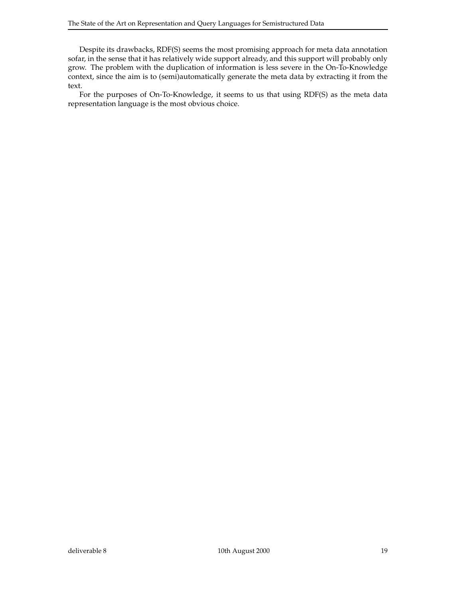Despite its drawbacks, RDF(S) seems the most promising approach for meta data annotation sofar, in the sense that it has relatively wide support already, and this support will probably only grow. The problem with the duplication of information is less severe in the On-To-Knowledge context, since the aim is to (semi)automatically generate the meta data by extracting it from the text.

For the purposes of On-To-Knowledge, it seems to us that using RDF(S) as the meta data representation language is the most obvious choice.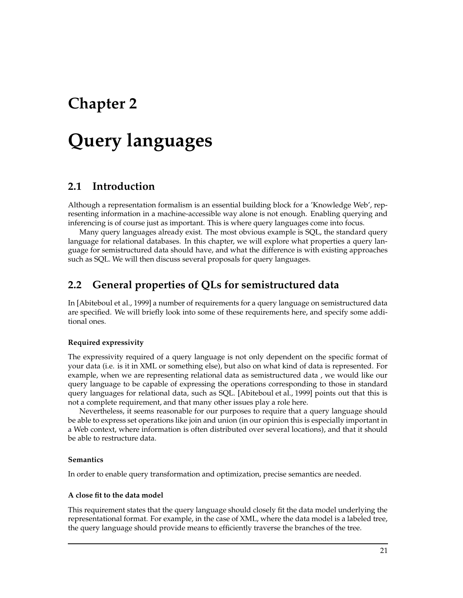## **Chapter 2**

## **Query languages**

## **2.1 Introduction**

Although a representation formalism is an essential building block for a 'Knowledge Web', representing information in a machine-accessible way alone is not enough. Enabling querying and inferencing is of course just as important. This is where query languages come into focus.

Many query languages already exist. The most obvious example is SQL, the standard query language for relational databases. In this chapter, we will explore what properties a query language for semistructured data should have, and what the difference is with existing approaches such as SQL. We will then discuss several proposals for query languages.

## **2.2 General properties of QLs for semistructured data**

In [Abiteboul et al., 1999] a number of requirements for a query language on semistructured data are specified. We will briefly look into some of these requirements here, and specify some additional ones.

#### **Required expressivity**

The expressivity required of a query language is not only dependent on the specific format of your data (i.e. is it in XML or something else), but also on what kind of data is represented. For example, when we are representing relational data as semistructured data , we would like our query language to be capable of expressing the operations corresponding to those in standard query languages for relational data, such as SQL. [Abiteboul et al., 1999] points out that this is not a complete requirement, and that many other issues play a role here.

Nevertheless, it seems reasonable for our purposes to require that a query language should be able to express set operations like join and union (in our opinion this is especially important in a Web context, where information is often distributed over several locations), and that it should be able to restructure data.

#### **Semantics**

In order to enable query transformation and optimization, precise semantics are needed.

#### **A close fit to the data model**

This requirement states that the query language should closely fit the data model underlying the representational format. For example, in the case of XML, where the data model is a labeled tree, the query language should provide means to efficiently traverse the branches of the tree.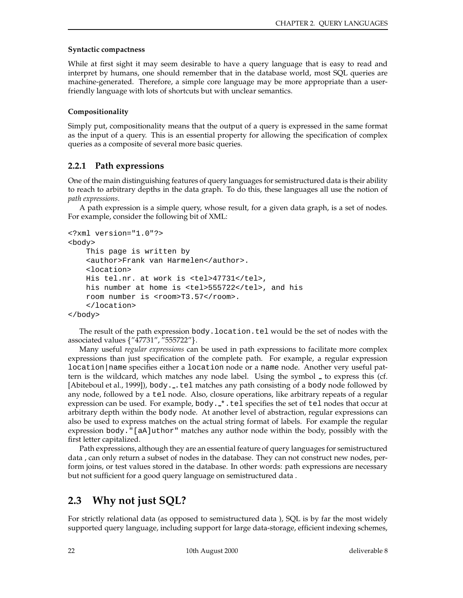#### **Syntactic compactness**

While at first sight it may seem desirable to have a query language that is easy to read and interpret by humans, one should remember that in the database world, most SQL queries are machine-generated. Therefore, a simple core language may be more appropriate than a userfriendly language with lots of shortcuts but with unclear semantics.

#### **Compositionality**

Simply put, compositionality means that the output of a query is expressed in the same format as the input of a query. This is an essential property for allowing the specification of complex queries as a composite of several more basic queries.

#### **2.2.1 Path expressions**

One of the main distinguishing features of query languages for semistructured data is their ability to reach to arbitrary depths in the data graph. To do this, these languages all use the notion of *path expressions*.

A path expression is a simple query, whose result, for a given data graph, is a set of nodes. For example, consider the following bit of XML:

```
<?xml version="1.0"?>
<body>
    This page is written by
    <author>Frank van Harmelen</author>.
    <location>
   His tel.nr. at work is <tel>47731</tel>,
   his number at home is <tel>555722</tel>, and his
   room number is <room>T3.57</room>.
    </location>
</body>
```
The result of the path expression body.location.tel would be the set of nodes with the associated values {"47731", "555722"}.

Many useful *regular expressions* can be used in path expressions to facilitate more complex expressions than just specification of the complete path. For example, a regular expression location|name specifies either a location node or a name node. Another very useful pattern is the wildcard, which matches any node label. Using the symbol  $\overline{\ }$  to express this (cf. [Abiteboul et al., 1999]), body...tel matches any path consisting of a body node followed by any node, followed by a tel node. Also, closure operations, like arbitrary repeats of a regular expression can be used. For example, body.  $\cdot$  tel specifies the set of tel nodes that occur at arbitrary depth within the body node. At another level of abstraction, regular expressions can also be used to express matches on the actual string format of labels. For example the regular expression body."[aA]uthor" matches any author node within the body, possibly with the first letter capitalized.

Path expressions, although they are an essential feature of query languages for semistructured data , can only return a subset of nodes in the database. They can not construct new nodes, perform joins, or test values stored in the database. In other words: path expressions are necessary but not sufficient for a good query language on semistructured data .

## **2.3 Why not just SQL?**

For strictly relational data (as opposed to semistructured data ), SQL is by far the most widely supported query language, including support for large data-storage, efficient indexing schemes,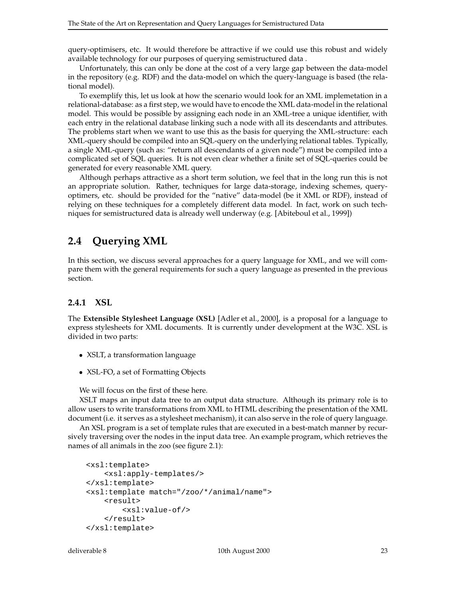query-optimisers, etc. It would therefore be attractive if we could use this robust and widely available technology for our purposes of querying semistructured data .

Unfortunately, this can only be done at the cost of a very large gap between the data-model in the repository (e.g. RDF) and the data-model on which the query-language is based (the relational model).

To exemplify this, let us look at how the scenario would look for an XML implemetation in a relational-database: as a first step, we would have to encode the XML data-model in the relational model. This would be possible by assigning each node in an XML-tree a unique identifier, with each entry in the relational database linking such a node with all its descendants and attributes. The problems start when we want to use this as the basis for querying the XML-structure: each XML-query should be compiled into an SQL-query on the underlying relational tables. Typically, a single XML-query (such as: "return all descendants of a given node") must be compiled into a complicated set of SQL queries. It is not even clear whether a finite set of SQL-queries could be generated for every reasonable XML query.

Although perhaps attractive as a short term solution, we feel that in the long run this is not an appropriate solution. Rather, techniques for large data-storage, indexing schemes, queryoptimers, etc. should be provided for the "native" data-model (be it XML or RDF), instead of relying on these techniques for a completely different data model. In fact, work on such techniques for semistructured data is already well underway (e.g. [Abiteboul et al., 1999])

## **2.4 Querying XML**

In this section, we discuss several approaches for a query language for XML, and we will compare them with the general requirements for such a query language as presented in the previous section.

#### **2.4.1 XSL**

The **Extensible Stylesheet Language (XSL)** [Adler et al., 2000], is a proposal for a language to express stylesheets for XML documents. It is currently under development at the W3C. XSL is divided in two parts:

- XSLT, a transformation language
- XSL-FO, a set of Formatting Objects

We will focus on the first of these here.

XSLT maps an input data tree to an output data structure. Although its primary role is to allow users to write transformations from XML to HTML describing the presentation of the XML document (i.e. it serves as a stylesheet mechanism), it can also serve in the role of query language.

An XSL program is a set of template rules that are executed in a best-match manner by recursively traversing over the nodes in the input data tree. An example program, which retrieves the names of all animals in the zoo (see figure 2.1):

```
<xsl:template>
    <xsl:apply-templates/>
</xsl:template>
<xsl:template match="/zoo/*/animal/name">
    <result>
        <xsl:value-of/>
    </result>
</xsl:template>
```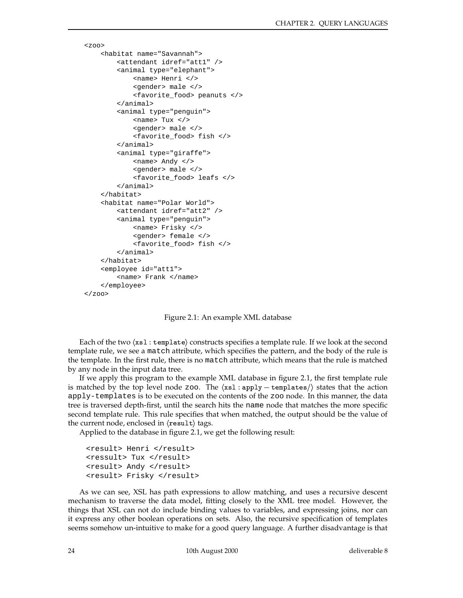```
<zoo><habitat name="Savannah">
        <attendant idref="att1" />
        <animal type="elephant">
            <name> Henri </>
            <gender> male </>
            <favorite_food> peanuts </>
        </animal>
        <animal type="penguin">
            <name> Tux </>
            <gender> male </>
            <favorite_food> fish </>
        </animal>
        <animal type="giraffe">
            <name> Andy </>
            <gender> male </>
            <favorite_food> leafs </>
        </animal>
    </habitat>
    <habitat name="Polar World">
        <attendant idref="att2" />
        <animal type="penguin">
            <name> Frisky </>
            <gender> female </>
            <favorite_food> fish </>
        </animal>
    </habitat>
    <employee id="att1">
        <name> Frank </name>
    </employee>
\langlezoo\rangle
```
Figure 2.1: An example XML database

Each of the two  $(xs1 : template)$  constructs specifies a template rule. If we look at the second template rule, we see a match attribute, which specifies the pattern, and the body of the rule is the template. In the first rule, there is no match attribute, which means that the rule is matched by any node in the input data tree.

If we apply this program to the example XML database in figure 2.1, the first template rule is matched by the top level node zoo. The  $\langle x s1 : apply - templates \rangle$  states that the action apply-templates is to be executed on the contents of the zoo node. In this manner, the data tree is traversed depth-first, until the search hits the name node that matches the more specific second template rule. This rule specifies that when matched, the output should be the value of the current node, enclosed in  $\langle$ result $\rangle$  tags.

Applied to the database in figure 2.1, we get the following result:

```
<result> Henri </result>
<ressult> Tux </result>
<result> Andy </result>
<result> Frisky </result>
```
As we can see, XSL has path expressions to allow matching, and uses a recursive descent mechanism to traverse the data model, fitting closely to the XML tree model. However, the things that XSL can not do include binding values to variables, and expressing joins, nor can it express any other boolean operations on sets. Also, the recursive specification of templates seems somehow un-intuitive to make for a good query language. A further disadvantage is that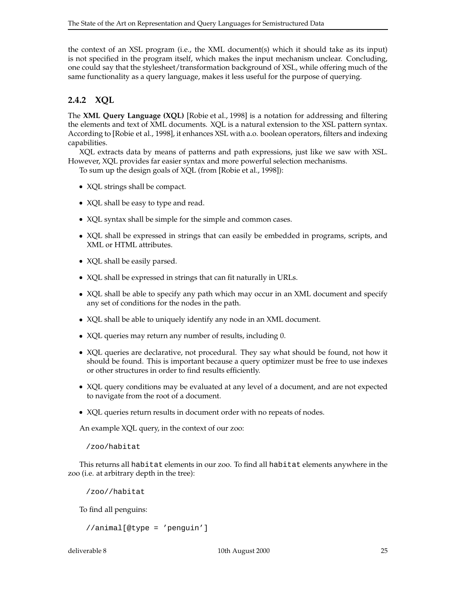the context of an XSL program (i.e., the XML document(s) which it should take as its input) is not specified in the program itself, which makes the input mechanism unclear. Concluding, one could say that the stylesheet/transformation background of XSL, while offering much of the same functionality as a query language, makes it less useful for the purpose of querying.

### **2.4.2 XQL**

The **XML Query Language (XQL)** [Robie et al., 1998] is a notation for addressing and filtering the elements and text of XML documents. XQL is a natural extension to the XSL pattern syntax. According to [Robie et al., 1998], it enhances XSL with a.o. boolean operators, filters and indexing capabilities.

XQL extracts data by means of patterns and path expressions, just like we saw with XSL. However, XQL provides far easier syntax and more powerful selection mechanisms.

To sum up the design goals of XQL (from [Robie et al., 1998]):

- XQL strings shall be compact.
- XQL shall be easy to type and read.
- XQL syntax shall be simple for the simple and common cases.
- XQL shall be expressed in strings that can easily be embedded in programs, scripts, and XML or HTML attributes.
- XQL shall be easily parsed.
- XQL shall be expressed in strings that can fit naturally in URLs.
- XQL shall be able to specify any path which may occur in an XML document and specify any set of conditions for the nodes in the path.
- XQL shall be able to uniquely identify any node in an XML document.
- XQL queries may return any number of results, including 0.
- XQL queries are declarative, not procedural. They say what should be found, not how it should be found. This is important because a query optimizer must be free to use indexes or other structures in order to find results efficiently.
- XQL query conditions may be evaluated at any level of a document, and are not expected to navigate from the root of a document.
- XQL queries return results in document order with no repeats of nodes.

An example XQL query, in the context of our zoo:

/zoo/habitat

This returns all habitat elements in our zoo. To find all habitat elements anywhere in the zoo (i.e. at arbitrary depth in the tree):

/zoo//habitat

To find all penguins:

```
//animal[@type = 'penguin']
```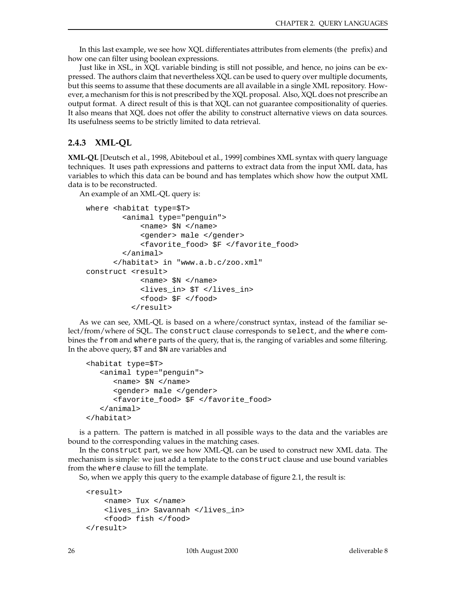In this last example, we see how XQL differentiates attributes from elements (the prefix) and how one can filter using boolean expressions.

Just like in XSL, in XQL variable binding is still not possible, and hence, no joins can be expressed. The authors claim that nevertheless XQL can be used to query over multiple documents, but this seems to assume that these documents are all available in a single XML repository. However, a mechanism for this is not prescribed by the XQL proposal. Also, XQL does not prescribe an output format. A direct result of this is that XQL can not guarantee compositionality of queries. It also means that XQL does not offer the ability to construct alternative views on data sources. Its usefulness seems to be strictly limited to data retrieval.

### **2.4.3 XML-QL**

**XML-QL** [Deutsch et al., 1998, Abiteboul et al., 1999] combines XML syntax with query language techniques. It uses path expressions and patterns to extract data from the input XML data, has variables to which this data can be bound and has templates which show how the output XML data is to be reconstructed.

An example of an XML-QL query is:

```
where <habitat type=$T>
        <animal type="penguin">
            <name> $N </name>
            <gender> male </gender>
            <favorite_food> $F </favorite_food>
        </animal>
      </habitat> in "www.a.b.c/zoo.xml"
construct <result>
            <name> $N </name>
            <lives_in> $T </lives_in>
            <food> $F </food>
          </result>
```
As we can see, XML-QL is based on a where/construct syntax, instead of the familiar select/from/where of SQL. The construct clause corresponds to select, and the where combines the from and where parts of the query, that is, the ranging of variables and some filtering. In the above query, \$T and \$N are variables and

```
<habitat type=$T>
   <animal type="penguin">
      <name> $N </name>
      <gender> male </gender>
      <favorite_food> $F </favorite_food>
   </animal>
</habitat>
```
is a pattern. The pattern is matched in all possible ways to the data and the variables are bound to the corresponding values in the matching cases.

In the construct part, we see how XML-QL can be used to construct new XML data. The mechanism is simple: we just add a template to the construct clause and use bound variables from the where clause to fill the template.

So, when we apply this query to the example database of figure 2.1, the result is:

```
<result>
    <name> Tux </name>
    <lives_in> Savannah </lives_in>
    <food> fish </food>
</result>
```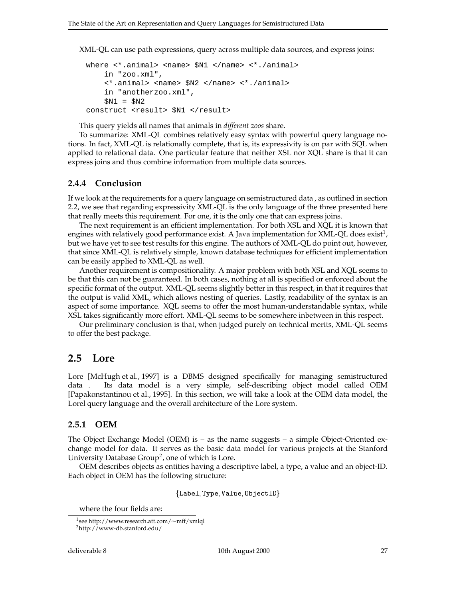XML-QL can use path expressions, query across multiple data sources, and express joins:

```
where <*.animal> <name> $N1 </name> <*./animal>
    in "zoo.xml",
    <*.animal> <name> $N2 </name> <*./animal>
    in "anotherzoo.xml",
    $N1 = $N2construct <result> $N1 </result>
```
This query yields all names that animals in *different zoos* share.

To summarize: XML-QL combines relatively easy syntax with powerful query language notions. In fact, XML-QL is relationally complete, that is, its expressivity is on par with SQL when applied to relational data. One particular feature that neither XSL nor XQL share is that it can express joins and thus combine information from multiple data sources.

#### **2.4.4 Conclusion**

If we look at the requirements for a query language on semistructured data , as outlined in section 2.2, we see that regarding expressivity XML-QL is the only language of the three presented here that really meets this requirement. For one, it is the only one that can express joins.

The next requirement is an efficient implementation. For both XSL and XQL it is known that engines with relatively good performance exist. A Java implementation for XML-QL does exist<sup>1</sup>, but we have yet to see test results for this engine. The authors of XML-QL do point out, however, that since XML-QL is relatively simple, known database techniques for efficient implementation can be easily applied to XML-QL as well.

Another requirement is compositionality. A major problem with both XSL and XQL seems to be that this can not be guaranteed. In both cases, nothing at all is specified or enforced about the specific format of the output. XML-QL seems slightly better in this respect, in that it requires that the output is valid XML, which allows nesting of queries. Lastly, readability of the syntax is an aspect of some importance. XQL seems to offer the most human-understandable syntax, while XSL takes significantly more effort. XML-QL seems to be somewhere inbetween in this respect.

Our preliminary conclusion is that, when judged purely on technical merits, XML-QL seems to offer the best package.

#### **2.5 Lore**

Lore [McHugh et al., 1997] is a DBMS designed specifically for managing semistructured data . Its data model is a very simple, self-describing object model called OEM [Papakonstantinou et al., 1995]. In this section, we will take a look at the OEM data model, the Lorel query language and the overall architecture of the Lore system.

#### **2.5.1 OEM**

The Object Exchange Model (OEM) is – as the name suggests – a simple Object-Oriented exchange model for data. It serves as the basic data model for various projects at the Stanford University Database  $Group^2$ , one of which is Lore.

OEM describes objects as entities having a descriptive label, a type, a value and an object-ID. Each object in OEM has the following structure:

\$< 34=.>( @?51.>@A/3 (-;.>CB-=/D .E ,FG %

where the four fields are:

 $1$ see http://www.research.att.com/ $\sim$ mff/xmlql <sup>2</sup>http://www-db.stanford.edu/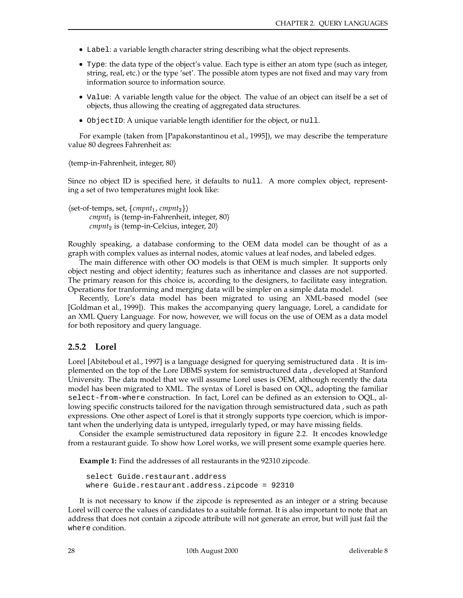- Label: a variable length character string describing what the object represents.
- Type: the data type of the object's value. Each type is either an atom type (such as integer, string, real, etc.) or the type 'set'. The possible atom types are not fixed and may vary from information source to information source.
- Value: A variable length value for the object. The value of an object can itself be a set of objects, thus allowing the creating of aggregated data structures.
- ObjectID: A unique variable length identifier for the object, or null.

For example (taken from [Papakonstantinou et al., 1995]), we may describe the temperature value 80 degrees Fahrenheit as:

 $\langle$ temp-in-Fahrenheit, integer, 80 $\rangle$ 

Since no object ID is specified here, it defaults to null. A more complex object, representing a set of two temperatures might look like:

 $\langle$ set-of-temps*,* set,  $\{ \mathit{cmmt}_1, \mathit{cmmt}_2 \} \rangle$  $cmmt_1$  is  $\langle temp-in-Fahrenheit, integer, 80 \rangle$  $\mathit{cmmt}_2$  is  $\langle \text{temp-in-Celcius}, \text{integer}, 20 \rangle$ 

Roughly speaking, a database conforming to the OEM data model can be thought of as a graph with complex values as internal nodes, atomic values at leaf nodes, and labeled edges.

The main difference with other OO models is that OEM is much simpler. It supports only object nesting and object identity; features such as inheritance and classes are not supported. The primary reason for this choice is, according to the designers, to facilitate easy integration. Operations for tranforming and merging data will be simpler on a simple data model.

Recently, Lore's data model has been migrated to using an XML-based model (see [Goldman et al., 1999]). This makes the accompanying query language, Lorel, a candidate for an XML Query Language. For now, however, we will focus on the use of OEM as a data model for both repository and query language.

#### **2.5.2 Lorel**

Lorel [Abiteboul et al., 1997] is a language designed for querying semistructured data . It is implemented on the top of the Lore DBMS system for semistructured data , developed at Stanford University. The data model that we will assume Lorel uses is OEM, although recently the data model has been migrated to XML. The syntax of Lorel is based on OQL, adopting the familiar select-from-where construction. In fact, Lorel can be defined as an extension to OQL, allowing specific constructs tailored for the navigation through semistructured data , such as path expressions. One other aspect of Lorel is that it strongly supports type coercion, which is important when the underlying data is untyped, irregularly typed, or may have missing fields.

Consider the example semistructured data repository in figure 2.2. It encodes knowledge from a restaurant guide. To show how Lorel works, we will present some example queries here.

**Example 1:** Find the addresses of all restaurants in the 92310 zipcode.

```
select Guide.restaurant.address
where Guide.restaurant.address.zipcode = 92310
```
It is not necessary to know if the zipcode is represented as an integer or a string because Lorel will coerce the values of candidates to a suitable format. It is also important to note that an address that does not contain a zipcode attribute will not generate an error, but will just fail the where condition.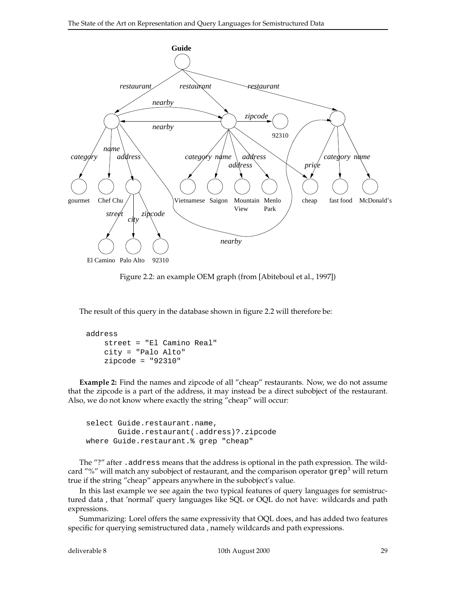

Figure 2.2: an example OEM graph (from [Abiteboul et al., 1997])

The result of this query in the database shown in figure 2.2 will therefore be:

```
address
    street = "El Camino Real"
    city = "Palo Alto"
    zipcode = "92310"
```
**Example 2:** Find the names and zipcode of all "cheap" restaurants. Now, we do not assume that the zipcode is a part of the address, it may instead be a direct subobject of the restaurant. Also, we do not know where exactly the string "cheap" will occur:

```
select Guide.restaurant.name,
       Guide.restaurant(.address)?.zipcode
where Guide.restaurant.% grep "cheap"
```
The "?" after .address means that the address is optional in the path expression. The wildcard "%" will match any subobject of restaurant, and the comparison operator  $\text{grey}^3$  will return true if the string "cheap" appears anywhere in the subobject's value.

In this last example we see again the two typical features of query languages for semistructured data , that 'normal' query languages like SQL or OQL do not have: wildcards and path expressions.

Summarizing: Lorel offers the same expressivity that OQL does, and has added two features specific for querying semistructured data , namely wildcards and path expressions.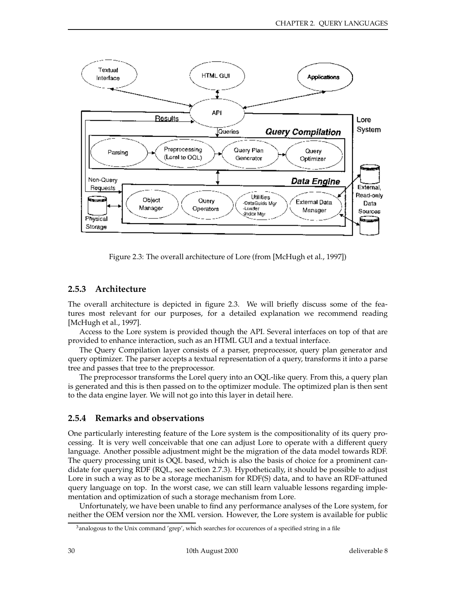

Figure 2.3: The overall architecture of Lore (from [McHugh et al., 1997])

### **2.5.3 Architecture**

The overall architecture is depicted in figure 2.3. We will briefly discuss some of the features most relevant for our purposes, for a detailed explanation we recommend reading [McHugh et al., 1997].

Access to the Lore system is provided though the API. Several interfaces on top of that are provided to enhance interaction, such as an HTML GUI and a textual interface.

The Query Compilation layer consists of a parser, preprocessor, query plan generator and query optimizer. The parser accepts a textual representation of a query, transforms it into a parse tree and passes that tree to the preprocessor.

The preprocessor transforms the Lorel query into an OQL-like query. From this, a query plan is generated and this is then passed on to the optimizer module. The optimized plan is then sent to the data engine layer. We will not go into this layer in detail here.

#### **2.5.4 Remarks and observations**

One particularly interesting feature of the Lore system is the compositionality of its query processing. It is very well conceivable that one can adjust Lore to operate with a different query language. Another possible adjustment might be the migration of the data model towards RDF. The query processing unit is OQL based, which is also the basis of choice for a prominent candidate for querying RDF (RQL, see section 2.7.3). Hypothetically, it should be possible to adjust Lore in such a way as to be a storage mechanism for RDF(S) data, and to have an RDF-attuned query language on top. In the worst case, we can still learn valuable lessons regarding implementation and optimization of such a storage mechanism from Lore.

Unfortunately, we have been unable to find any performance analyses of the Lore system, for neither the OEM version nor the XML version. However, the Lore system is available for public

<sup>&</sup>lt;sup>3</sup>analogous to the Unix command 'grep', which searches for occurences of a specified string in a file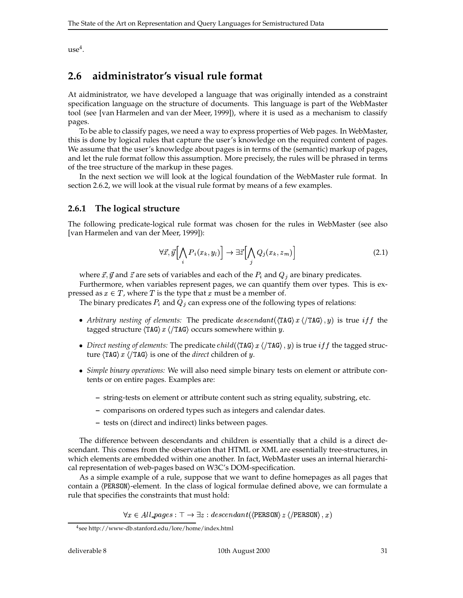$use<sup>4</sup>$ .

## **2.6 aidministrator's visual rule format**

At aidministrator, we have developed a language that was originally intended as a constraint specification language on the structure of documents. This language is part of the WebMaster tool (see [van Harmelen and van der Meer, 1999]), where it is used as a mechanism to classify pages.

To be able to classify pages, we need a way to express properties of Web pages. In WebMaster, this is done by logical rules that capture the user's knowledge on the required content of pages. We assume that the user's knowledge about pages is in terms of the (semantic) markup of pages, and let the rule format follow this assumption. More precisely, the rules will be phrased in terms of the tree structure of the markup in these pages.

In the next section we will look at the logical foundation of the WebMaster rule format. In section 2.6.2, we will look at the visual rule format by means of a few examples.

#### **2.6.1 The logical structure**

The following predicate-logical rule format was chosen for the rules in WebMaster (see also [van Harmelen and van der Meer, 1999]):

$$
\forall \vec{x}, \vec{y} \Big[ \bigwedge_i P_i(x_k, y_l) \Big] \rightarrow \exists \vec{z} \Big[ \bigwedge_j Q_j(x_k, z_m) \Big] \tag{2.1}
$$

where  $\vec{x}$ ,  $\vec{y}$  and  $\vec{z}$  are sets of variables and each of the  $P_i$  and  $Q_j$  are binary predicates.

Furthermore, when variables represent pages, we can quantify them over types. This is expressed as  $x \in T$ , where T is the type that x must be a member of.

The binary predicates  $P_i$  and  $Q_i$  can express one of the following types of relations:

\_\_

- Arbitrary nesting of elements: The predicate  $descendant(\langle TAG \rangle x \langle TRG \rangle, y)$  is true iff the tagged structure  $\langle TAG \rangle x \langle TAG \rangle$  occurs somewhere within  $y$ .
- *Direct nesting of elements:* The predicate  $child(\langle TAG \rangle x \langle TRG \rangle, y)$  is true  $iff$  the tagged structure  $\langle \text{TAG} \rangle x \langle \text{/TAG} \rangle$  is one of the *direct* children of y.
- *Simple binary operations:* We will also need simple binary tests on element or attribute contents or on entire pages. Examples are:
	- **–** string-tests on element or attribute content such as string equality, substring, etc.
	- **–** comparisons on ordered types such as integers and calendar dates.
	- **–** tests on (direct and indirect) links between pages.

The difference between descendants and children is essentially that a child is a direct descendant. This comes from the observation that HTML or XML are essentially tree-structures, in which elements are embedded within one another. In fact, WebMaster uses an internal hierarchical representation of web-pages based on W3C's DOM-specification.

As a simple example of a rule, suppose that we want to define homepages as all pages that contain a  $\langle$ PERS0N $\rangle$ -element. In the class of logical formulae defined above, we can formulate a rule that specifies the constraints that must hold:

 $\forall x \in All\_{pages} : \top \rightarrow \exists z : descendant(\langle \texttt{PERSON} \rangle z \langle \texttt{/PERSON} \rangle, x)$ 

<sup>4</sup> see http://www-db.stanford.edu/lore/home/index.html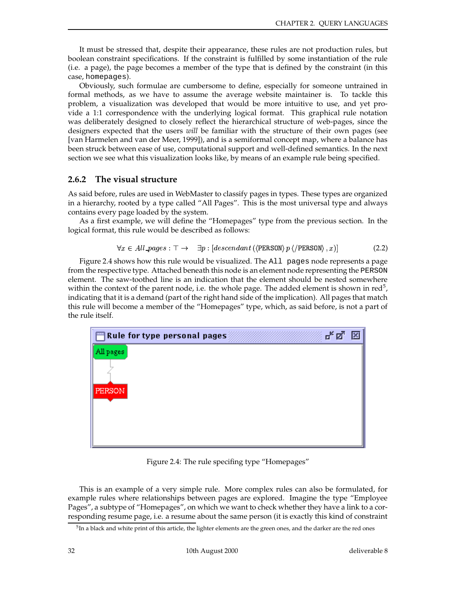It must be stressed that, despite their appearance, these rules are not production rules, but boolean constraint specifications. If the constraint is fulfilled by some instantiation of the rule (i.e. a page), the page becomes a member of the type that is defined by the constraint (in this case, homepages).

Obviously, such formulae are cumbersome to define, especially for someone untrained in formal methods, as we have to assume the average website maintainer is. To tackle this problem, a visualization was developed that would be more intuitive to use, and yet provide a 1:1 correspondence with the underlying logical format. This graphical rule notation was deliberately designed to closely reflect the hierarchical structure of web-pages, since the designers expected that the users *will* be familiar with the structure of their own pages (see [van Harmelen and van der Meer, 1999]), and is a semiformal concept map, where a balance has been struck between ease of use, computational support and well-defined semantics. In the next section we see what this visualization looks like, by means of an example rule being specified.

#### **2.6.2 The visual structure**

As said before, rules are used in WebMaster to classify pages in types. These types are organized in a hierarchy, rooted by a type called "All Pages". This is the most universal type and always contains every page loaded by the system.

As a first example, we will define the "Homepages" type from the previous section. In the logical format, this rule would be described as follows:

$$
\forall x \in All\text{-}pages: \top \rightarrow \exists p : [descendant \ (\ \text{PERSON} \) p \ \ \text{/} \ \text{PERSON} \), x)] \tag{2.2}
$$

Figure 2.4 shows how this rule would be visualized. The All pages node represents a page from the respective type. Attached beneath this node is an element node representing the PERSON element. The saw-toothed line is an indication that the element should be nested somewhere within the context of the parent node, i.e. the whole page. The added element is shown in red<sup>5</sup>, indicating that it is a demand (part of the right hand side of the implication). All pages that match this rule will become a member of the "Homepages" type, which, as said before, is not a part of the rule itself.



Figure 2.4: The rule specifing type "Homepages"

This is an example of a very simple rule. More complex rules can also be formulated, for example rules where relationships between pages are explored. Imagine the type "Employee Pages", a subtype of "Homepages", on which we want to check whether they have a link to a corresponding resume page, i.e. a resume about the same person (it is exactly this kind of constraint

<sup>&</sup>lt;sup>5</sup>In a black and white print of this article, the lighter elements are the green ones, and the darker are the red ones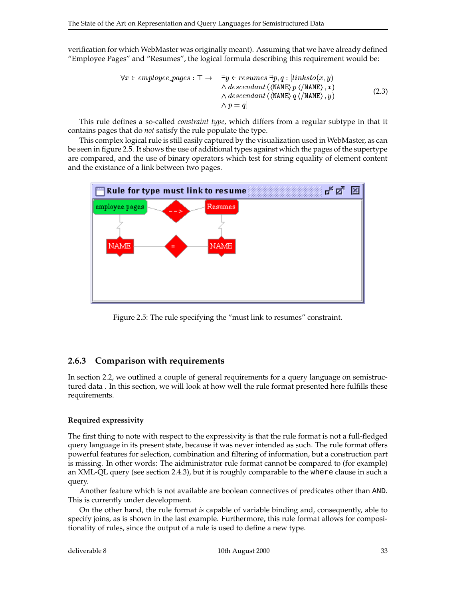verification for which WebMaster was originally meant). Assuming that we have already defined "Employee Pages" and "Resumes", the logical formula describing this requirement would be:

$$
\forall x \in employee\_\_\_\_\_\text{p} = \exists y \in resumes \exists p, q : [links to(x, y) \land descent(\langle NAME \rangle p \langle /NAME \rangle, x) \land descendant(\langle NAME \rangle q \langle /NAME \rangle, y) \land descendant(\langle NAME \rangle q \langle /NAME \rangle, y) \land p = q]
$$
\n(2.3)

This rule defines a so-called *constraint type*, which differs from a regular subtype in that it contains pages that do *not* satisfy the rule populate the type.

This complex logical rule is still easily captured by the visualization used in WebMaster, as can be seen in figure 2.5. It shows the use of additional types against which the pages of the supertype are compared, and the use of binary operators which test for string equality of element content and the existance of a link between two pages.



Figure 2.5: The rule specifying the "must link to resumes" constraint.

#### **2.6.3 Comparison with requirements**

In section 2.2, we outlined a couple of general requirements for a query language on semistructured data . In this section, we will look at how well the rule format presented here fulfills these requirements.

#### **Required expressivity**

The first thing to note with respect to the expressivity is that the rule format is not a full-fledged query language in its present state, because it was never intended as such. The rule format offers powerful features for selection, combination and filtering of information, but a construction part is missing. In other words: The aidministrator rule format cannot be compared to (for example) an XML-QL query (see section 2.4.3), but it is roughly comparable to the where clause in such a query.

Another feature which is not available are boolean connectives of predicates other than AND. This is currently under development.

On the other hand, the rule format *is* capable of variable binding and, consequently, able to specify joins, as is shown in the last example. Furthermore, this rule format allows for compositionality of rules, since the output of a rule is used to define a new type.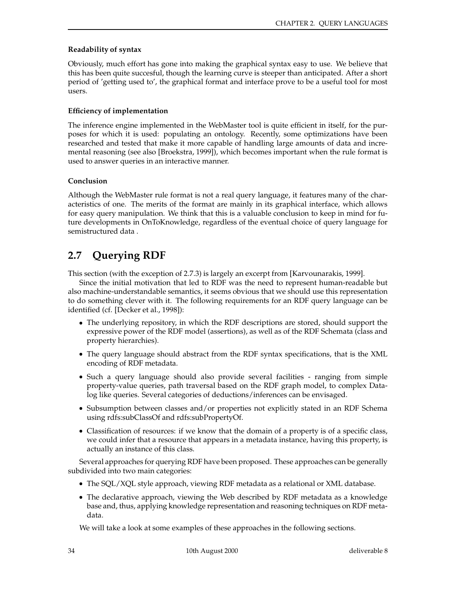#### **Readability of syntax**

Obviously, much effort has gone into making the graphical syntax easy to use. We believe that this has been quite succesful, though the learning curve is steeper than anticipated. After a short period of 'getting used to', the graphical format and interface prove to be a useful tool for most users.

#### **Efficiency of implementation**

The inference engine implemented in the WebMaster tool is quite efficient in itself, for the purposes for which it is used: populating an ontology. Recently, some optimizations have been researched and tested that make it more capable of handling large amounts of data and incremental reasoning (see also [Broekstra, 1999]), which becomes important when the rule format is used to answer queries in an interactive manner.

#### **Conclusion**

Although the WebMaster rule format is not a real query language, it features many of the characteristics of one. The merits of the format are mainly in its graphical interface, which allows for easy query manipulation. We think that this is a valuable conclusion to keep in mind for future developments in OnToKnowledge, regardless of the eventual choice of query language for semistructured data .

## **2.7 Querying RDF**

This section (with the exception of 2.7.3) is largely an excerpt from [Karvounarakis, 1999].

Since the initial motivation that led to RDF was the need to represent human-readable but also machine-understandable semantics, it seems obvious that we should use this representation to do something clever with it. The following requirements for an RDF query language can be identified (cf. [Decker et al., 1998]):

- The underlying repository, in which the RDF descriptions are stored, should support the expressive power of the RDF model (assertions), as well as of the RDF Schemata (class and property hierarchies).
- The query language should abstract from the RDF syntax specifications, that is the XML encoding of RDF metadata.
- Such a query language should also provide several facilities ranging from simple property-value queries, path traversal based on the RDF graph model, to complex Datalog like queries. Several categories of deductions/inferences can be envisaged.
- Subsumption between classes and/or properties not explicitly stated in an RDF Schema using rdfs:subClassOf and rdfs:subPropertyOf.
- Classification of resources: if we know that the domain of a property is of a specific class, we could infer that a resource that appears in a metadata instance, having this property, is actually an instance of this class.

Several approaches for querying RDF have been proposed. These approaches can be generally subdivided into two main categories:

- The SQL/XQL style approach, viewing RDF metadata as a relational or XML database.
- The declarative approach, viewing the Web described by RDF metadata as a knowledge base and, thus, applying knowledge representation and reasoning techniques on RDF metadata.

We will take a look at some examples of these approaches in the following sections.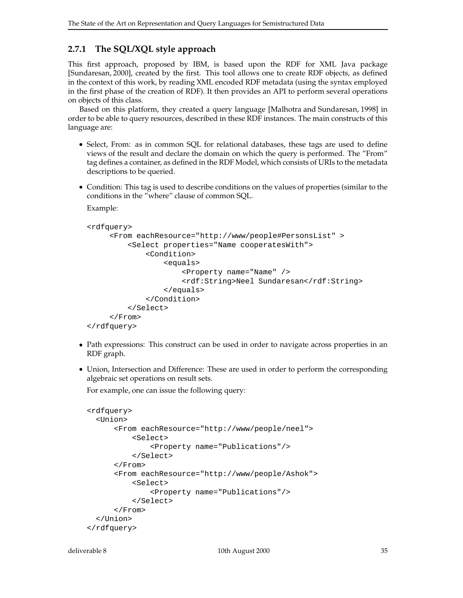### **2.7.1 The SQL/XQL style approach**

This first approach, proposed by IBM, is based upon the RDF for XML Java package [Sundaresan, 2000], created by the first. This tool allows one to create RDF objects, as defined in the context of this work, by reading XML encoded RDF metadata (using the syntax employed in the first phase of the creation of RDF). It then provides an API to perform several operations on objects of this class.

Based on this platform, they created a query language [Malhotra and Sundaresan, 1998] in order to be able to query resources, described in these RDF instances. The main constructs of this language are:

- Select, From: as in common SQL for relational databases, these tags are used to define views of the result and declare the domain on which the query is performed. The "From" tag defines a container, as defined in the RDF Model, which consists of URIs to the metadata descriptions to be queried.
- Condition: This tag is used to describe conditions on the values of properties (similar to the conditions in the "where" clause of common SQL.

Example:

```
<rdfquery>
```

```
<From eachResource="http://www/people#PersonsList" >
         <Select properties="Name cooperatesWith">
             <Condition>
                 <equals>
                     <Property name="Name" />
                     <rdf:String>Neel Sundaresan</rdf:String>
                 </equals>
             </Condition>
         </Select>
     </From>
</rdfquery>
```
- Path expressions: This construct can be used in order to navigate across properties in an RDF graph.
- Union, Intersection and Difference: These are used in order to perform the corresponding algebraic set operations on result sets.

For example, one can issue the following query:

```
<rdfquery>
 <Union>
      <From eachResource="http://www/people/neel">
          <Select>
              <Property name="Publications"/>
          </Select>
      </From>
      <From eachResource="http://www/people/Ashok">
          <Select>
              <Property name="Publications"/>
          </Select>
      </From>
 </Union>
</rdfquery>
```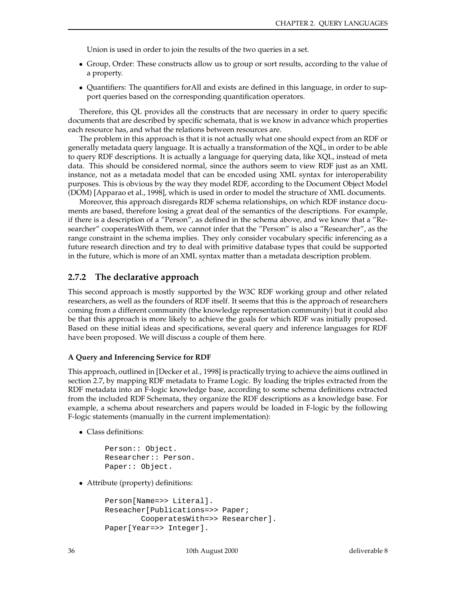Union is used in order to join the results of the two queries in a set.

- Group, Order: These constructs allow us to group or sort results, according to the value of a property.
- Quantifiers: The quantifiers forAll and exists are defined in this language, in order to support queries based on the corresponding quantification operators.

Therefore, this QL provides all the constructs that are necessary in order to query specific documents that are described by specific schemata, that is we know in advance which properties each resource has, and what the relations between resources are.

The problem in this approach is that it is not actually what one should expect from an RDF or generally metadata query language. It is actually a transformation of the XQL, in order to be able to query RDF descriptions. It is actually a language for querying data, like XQL, instead of meta data. This should be considered normal, since the authors seem to view RDF just as an XML instance, not as a metadata model that can be encoded using XML syntax for interoperability purposes. This is obvious by the way they model RDF, according to the Document Object Model (DOM) [Apparao et al., 1998], which is used in order to model the structure of XML documents.

Moreover, this approach disregards RDF schema relationships, on which RDF instance documents are based, therefore losing a great deal of the semantics of the descriptions. For example, if there is a description of a "Person", as defined in the schema above, and we know that a "Researcher" cooperatesWith them, we cannot infer that the "Person" is also a "Researcher", as the range constraint in the schema implies. They only consider vocabulary specific inferencing as a future research direction and try to deal with primitive database types that could be supported in the future, which is more of an XML syntax matter than a metadata description problem.

#### **2.7.2 The declarative approach**

This second approach is mostly supported by the W3C RDF working group and other related researchers, as well as the founders of RDF itself. It seems that this is the approach of researchers coming from a different community (the knowledge representation community) but it could also be that this approach is more likely to achieve the goals for which RDF was initially proposed. Based on these initial ideas and specifications, several query and inference languages for RDF have been proposed. We will discuss a couple of them here.

#### **A Query and Inferencing Service for RDF**

This approach, outlined in [Decker et al., 1998] is practically trying to achieve the aims outlined in section 2.7, by mapping RDF metadata to Frame Logic. By loading the triples extracted from the RDF metadata into an F-logic knowledge base, according to some schema definitions extracted from the included RDF Schemata, they organize the RDF descriptions as a knowledge base. For example, a schema about researchers and papers would be loaded in F-logic by the following F-logic statements (manually in the current implementation):

Class definitions:

```
Person:: Object.
Researcher:: Person.
Paper:: Object.
```
Attribute (property) definitions:

```
Person[Name=>> Literal].
Reseacher[Publications=>> Paper;
        CooperatesWith=>> Researcher].
Paper[Year=>> Integer].
```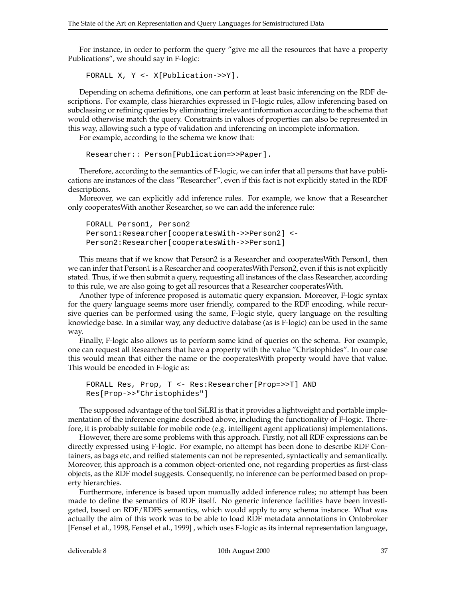For instance, in order to perform the query "give me all the resources that have a property Publications", we should say in F-logic:

FORALL X, Y <- X[Publication->>Y].

Depending on schema definitions, one can perform at least basic inferencing on the RDF descriptions. For example, class hierarchies expressed in F-logic rules, allow inferencing based on subclassing or refining queries by eliminating irrelevant information according to the schema that would otherwise match the query. Constraints in values of properties can also be represented in this way, allowing such a type of validation and inferencing on incomplete information.

For example, according to the schema we know that:

```
Researcher:: Person[Publication=>>Paper].
```
Therefore, according to the semantics of F-logic, we can infer that all persons that have publications are instances of the class "Researcher", even if this fact is not explicitly stated in the RDF descriptions.

Moreover, we can explicitly add inference rules. For example, we know that a Researcher only cooperatesWith another Researcher, so we can add the inference rule:

```
FORALL Person1, Person2
Person1:Researcher[cooperatesWith->>Person2] <-
Person2:Researcher[cooperatesWith->>Person1]
```
This means that if we know that Person2 is a Researcher and cooperatesWith Person1, then we can infer that Person1 is a Researcher and cooperatesWith Person2, even if this is not explicitly stated. Thus, if we then submit a query, requesting all instances of the class Researcher, according to this rule, we are also going to get all resources that a Researcher cooperatesWith.

Another type of inference proposed is automatic query expansion. Moreover, F-logic syntax for the query language seems more user friendly, compared to the RDF encoding, while recursive queries can be performed using the same, F-logic style, query language on the resulting knowledge base. In a similar way, any deductive database (as is F-logic) can be used in the same way.

Finally, F-logic also allows us to perform some kind of queries on the schema. For example, one can request all Researchers that have a property with the value "Christophides". In our case this would mean that either the name or the cooperatesWith property would have that value. This would be encoded in F-logic as:

```
FORALL Res, Prop, T <- Res:Researcher[Prop=>>T] AND
Res[Prop->>"Christophides"]
```
The supposed advantage of the tool SiLRI is that it provides a lightweight and portable implementation of the inference engine described above, including the functionality of F-logic. Therefore, it is probably suitable for mobile code (e.g. intelligent agent applications) implementations.

However, there are some problems with this approach. Firstly, not all RDF expressions can be directly expressed using F-logic. For example, no attempt has been done to describe RDF Containers, as bags etc, and reified statements can not be represented, syntactically and semantically. Moreover, this approach is a common object-oriented one, not regarding properties as first-class objects, as the RDF model suggests. Consequently, no inference can be performed based on property hierarchies.

Furthermore, inference is based upon manually added inference rules; no attempt has been made to define the semantics of RDF itself. No generic inference facilities have been investigated, based on RDF/RDFS semantics, which would apply to any schema instance. What was actually the aim of this work was to be able to load RDF metadata annotations in Ontobroker [Fensel et al., 1998, Fensel et al., 1999] , which uses F-logic as its internal representation language,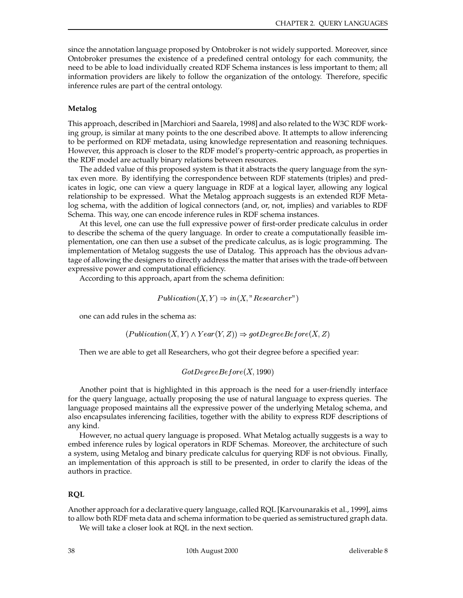since the annotation language proposed by Ontobroker is not widely supported. Moreover, since Ontobroker presumes the existence of a predefined central ontology for each community, the need to be able to load individually created RDF Schema instances is less important to them; all information providers are likely to follow the organization of the ontology. Therefore, specific inference rules are part of the central ontology.

#### **Metalog**

This approach, described in [Marchiori and Saarela, 1998] and also related to the W3C RDF working group, is similar at many points to the one described above. It attempts to allow inferencing to be performed on RDF metadata, using knowledge representation and reasoning techniques. However, this approach is closer to the RDF model's property-centric approach, as properties in the RDF model are actually binary relations between resources.

The added value of this proposed system is that it abstracts the query language from the syntax even more. By identifying the correspondence between RDF statements (triples) and predicates in logic, one can view a query language in RDF at a logical layer, allowing any logical relationship to be expressed. What the Metalog approach suggests is an extended RDF Metalog schema, with the addition of logical connectors (and, or, not, implies) and variables to RDF Schema. This way, one can encode inference rules in RDF schema instances.

At this level, one can use the full expressive power of first-order predicate calculus in order to describe the schema of the query language. In order to create a computationally feasible implementation, one can then use a subset of the predicate calculus, as is logic programming. The implementation of Metalog suggests the use of Datalog. This approach has the obvious advantage of allowing the designers to directly address the matter that arises with the trade-off between expressive power and computational efficiency.

According to this approach, apart from the schema definition:

$$
Publication(X, Y) \Rightarrow in(X, "Researcher")
$$

one can add rules in the schema as:

$$
(Publication(X, Y) \land Year(Y, Z)) \Rightarrow gotDegreeBefore(X, Z)
$$

Then we are able to get all Researchers, who got their degree before a specified year:

#### $\textit{GotDegreeBefore}(X, 1990)$

Another point that is highlighted in this approach is the need for a user-friendly interface for the query language, actually proposing the use of natural language to express queries. The language proposed maintains all the expressive power of the underlying Metalog schema, and also encapsulates inferencing facilities, together with the ability to express RDF descriptions of any kind.

However, no actual query language is proposed. What Metalog actually suggests is a way to embed inference rules by logical operators in RDF Schemas. Moreover, the architecture of such a system, using Metalog and binary predicate calculus for querying RDF is not obvious. Finally, an implementation of this approach is still to be presented, in order to clarify the ideas of the authors in practice.

#### **RQL**

Another approach for a declarative query language, called RQL [Karvounarakis et al., 1999], aims to allow both RDF meta data and schema information to be queried as semistructured graph data.

We will take a closer look at RQL in the next section.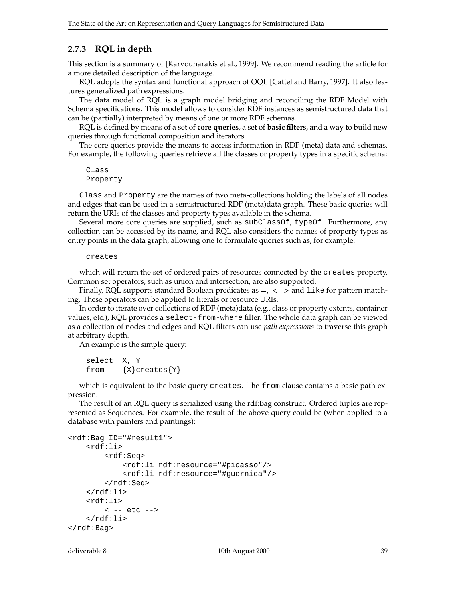#### **2.7.3 RQL in depth**

This section is a summary of [Karvounarakis et al., 1999]. We recommend reading the article for a more detailed description of the language.

RQL adopts the syntax and functional approach of OQL [Cattel and Barry, 1997]. It also features generalized path expressions.

The data model of RQL is a graph model bridging and reconciling the RDF Model with Schema specifications. This model allows to consider RDF instances as semistructured data that can be (partially) interpreted by means of one or more RDF schemas.

RQL is defined by means of a set of **core queries**, a set of **basic filters**, and a way to build new queries through functional composition and iterators.

The core queries provide the means to access information in RDF (meta) data and schemas. For example, the following queries retrieve all the classes or property types in a specific schema:

#### Class Property

Class and Property are the names of two meta-collections holding the labels of all nodes and edges that can be used in a semistructured RDF (meta)data graph. These basic queries will return the URIs of the classes and property types available in the schema.

Several more core queries are supplied, such as subClassOf, typeOf. Furthermore, any collection can be accessed by its name, and RQL also considers the names of property types as entry points in the data graph, allowing one to formulate queries such as, for example:

#### creates

which will return the set of ordered pairs of resources connected by the creates property. Common set operators, such as union and intersection, are also supported.

Finally, RQL supports standard Boolean predicates as  $=$ ,  $\lt$ ,  $>$  and like for pattern matching. These operators can be applied to literals or resource URIs.

In order to iterate over collections of RDF (meta)data (e.g., class or property extents, container values, etc.), RQL provides a select-from-where filter. The whole data graph can be viewed as a collection of nodes and edges and RQL filters can use *path expressions* to traverse this graph at arbitrary depth.

An example is the simple query:

select X, Y from  $\{X\}$ creates $\{Y\}$ 

which is equivalent to the basic query creates. The from clause contains a basic path expression.

The result of an RQL query is serialized using the rdf:Bag construct. Ordered tuples are represented as Sequences. For example, the result of the above query could be (when applied to a database with painters and paintings):

```
<rdf:Bag ID="#result1">
    <rdf:li>
         <rdf:Seq>
              <rdf:li rdf:resource="#picasso"/>
              <rdf:li rdf:resource="#guernica"/>
         </rdf:Seq>
    \langle /rdf:li>
    <rdf:li>
         <!-- etc -->
    \langle rdf:li\rangle\langlerdf:Bag>
```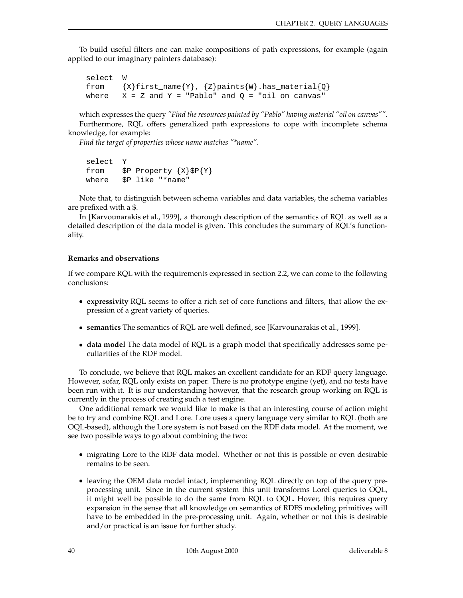To build useful filters one can make compositions of path expressions, for example (again applied to our imaginary painters database):

```
select W
from \{X\}first_name\{Y\}, \{Z\}paints\{W\}.has_material\{Q\}where X = Z and Y = "Pablo" and Q = "oil on canvas"
```
which expresses the query *"Find the resources painted by "Pablo" having material "oil on canvas""*. Furthermore, RQL offers generalized path expressions to cope with incomplete schema knowledge, for example:

*Find the target of properties whose name matches "\*name"*.

```
select Y
from $P Property {X}$P{Y}
where $P like "*name"
```
Note that, to distinguish between schema variables and data variables, the schema variables are prefixed with a \$.

In [Karvounarakis et al., 1999], a thorough description of the semantics of RQL as well as a detailed description of the data model is given. This concludes the summary of RQL's functionality.

#### **Remarks and observations**

If we compare RQL with the requirements expressed in section 2.2, we can come to the following conclusions:

- **expressivity** RQL seems to offer a rich set of core functions and filters, that allow the expression of a great variety of queries.
- **semantics** The semantics of RQL are well defined, see [Karvounarakis et al., 1999].
- **data model** The data model of RQL is a graph model that specifically addresses some peculiarities of the RDF model.

To conclude, we believe that RQL makes an excellent candidate for an RDF query language. However, sofar, RQL only exists on paper. There is no prototype engine (yet), and no tests have been run with it. It is our understanding however, that the research group working on RQL is currently in the process of creating such a test engine.

One additional remark we would like to make is that an interesting course of action might be to try and combine RQL and Lore. Lore uses a query language very similar to RQL (both are OQL-based), although the Lore system is not based on the RDF data model. At the moment, we see two possible ways to go about combining the two:

- migrating Lore to the RDF data model. Whether or not this is possible or even desirable remains to be seen.
- leaving the OEM data model intact, implementing RQL directly on top of the query preprocessing unit. Since in the current system this unit transforms Lorel queries to OQL, it might well be possible to do the same from RQL to OQL. Hover, this requires query expansion in the sense that all knowledge on semantics of RDFS modeling primitives will have to be embedded in the pre-processing unit. Again, whether or not this is desirable and/or practical is an issue for further study.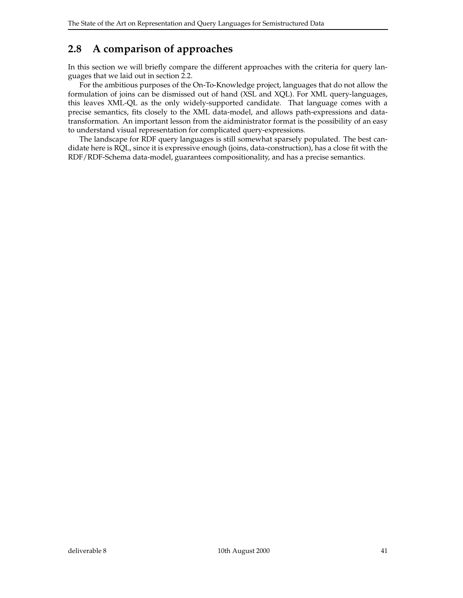## **2.8 A comparison of approaches**

In this section we will briefly compare the different approaches with the criteria for query languages that we laid out in section 2.2.

For the ambitious purposes of the On-To-Knowledge project, languages that do not allow the formulation of joins can be dismissed out of hand (XSL and XQL). For XML query-languages, this leaves XML-QL as the only widely-supported candidate. That language comes with a precise semantics, fits closely to the XML data-model, and allows path-expressions and datatransformation. An important lesson from the aidministrator format is the possibility of an easy to understand visual representation for complicated query-expressions.

The landscape for RDF query languages is still somewhat sparsely populated. The best candidate here is RQL, since it is expressive enough (joins, data-construction), has a close fit with the RDF/RDF-Schema data-model, guarantees compositionality, and has a precise semantics.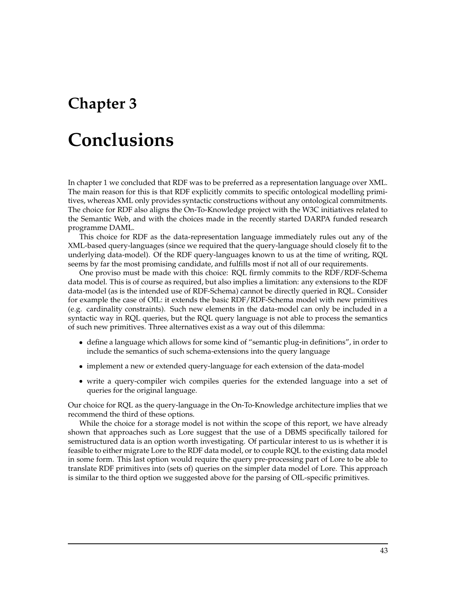## **Chapter 3**

# **Conclusions**

In chapter 1 we concluded that RDF was to be preferred as a representation language over XML. The main reason for this is that RDF explicitly commits to specific ontological modelling primitives, whereas XML only provides syntactic constructions without any ontological commitments. The choice for RDF also aligns the On-To-Knowledge project with the W3C initiatives related to the Semantic Web, and with the choices made in the recently started DARPA funded research programme DAML.

This choice for RDF as the data-representation language immediately rules out any of the XML-based query-languages (since we required that the query-language should closely fit to the underlying data-model). Of the RDF query-languages known to us at the time of writing, RQL seems by far the most promising candidate, and fulfills most if not all of our requirements.

One proviso must be made with this choice: RQL firmly commits to the RDF/RDF-Schema data model. This is of course as required, but also implies a limitation: any extensions to the RDF data-model (as is the intended use of RDF-Schema) cannot be directly queried in RQL. Consider for example the case of OIL: it extends the basic RDF/RDF-Schema model with new primitives (e.g. cardinality constraints). Such new elements in the data-model can only be included in a syntactic way in RQL queries, but the RQL query language is not able to process the semantics of such new primitives. Three alternatives exist as a way out of this dilemma:

- define a language which allows for some kind of "semantic plug-in definitions", in order to include the semantics of such schema-extensions into the query language
- implement a new or extended query-language for each extension of the data-model
- write a query-compiler wich compiles queries for the extended language into a set of queries for the original language.

Our choice for RQL as the query-language in the On-To-Knowledge architecture implies that we recommend the third of these options.

While the choice for a storage model is not within the scope of this report, we have already shown that approaches such as Lore suggest that the use of a DBMS specifically tailored for semistructured data is an option worth investigating. Of particular interest to us is whether it is feasible to either migrate Lore to the RDF data model, or to couple RQL to the existing data model in some form. This last option would require the query pre-processing part of Lore to be able to translate RDF primitives into (sets of) queries on the simpler data model of Lore. This approach is similar to the third option we suggested above for the parsing of OIL-specific primitives.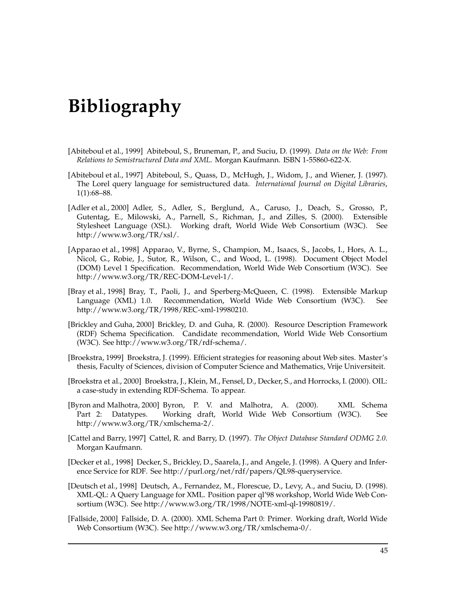## **Bibliography**

- [Abiteboul et al., 1999] Abiteboul, S., Bruneman, P., and Suciu, D. (1999). *Data on the Web: From Relations to Semistructured Data and XML*. Morgan Kaufmann. ISBN 1-55860-622-X.
- [Abiteboul et al., 1997] Abiteboul, S., Quass, D., McHugh, J., Widom, J., and Wiener, J. (1997). The Lorel query language for semistructured data. *International Journal on Digital Libraries*, 1(1):68–88.
- [Adler et al., 2000] Adler, S., Adler, S., Berglund, A., Caruso, J., Deach, S., Grosso, P., Gutentag, E., Milowski, A., Parnell, S., Richman, J., and Zilles, S. (2000). Extensible Stylesheet Language (XSL). Working draft, World Wide Web Consortium (W3C). See http://www.w3.org/TR/xsl/.
- [Apparao et al., 1998] Apparao, V., Byrne, S., Champion, M., Isaacs, S., Jacobs, I., Hors, A. L., Nicol, G., Robie, J., Sutor, R., Wilson, C., and Wood, L. (1998). Document Object Model (DOM) Level 1 Specification. Recommendation, World Wide Web Consortium (W3C). See http://www.w3.org/TR/REC-DOM-Level-1/.
- [Bray et al., 1998] Bray, T., Paoli, J., and Sperberg-McQueen, C. (1998). Extensible Markup Language (XML) 1.0. Recommendation, World Wide Web Consortium (W3C). See http://www.w3.org/TR/1998/REC-xml-19980210.
- [Brickley and Guha, 2000] Brickley, D. and Guha, R. (2000). Resource Description Framework (RDF) Schema Specification. Candidate recommendation, World Wide Web Consortium (W3C). See http://www.w3.org/TR/rdf-schema/.
- [Broekstra, 1999] Broekstra, J. (1999). Efficient strategies for reasoning about Web sites. Master's thesis, Faculty of Sciences, division of Computer Science and Mathematics, Vrije Universiteit.
- [Broekstra et al., 2000] Broekstra, J., Klein, M., Fensel, D., Decker, S., and Horrocks, I. (2000). OIL: a case-study in extending RDF-Schema. To appear.
- [Byron and Malhotra, 2000] Byron, P. V. and Malhotra, A. (2000). XML Schema Part 2: Datatypes. Working draft, World Wide Web Consortium (W3C). See http://www.w3.org/TR/xmlschema-2/.
- [Cattel and Barry, 1997] Cattel, R. and Barry, D. (1997). *The Object Database Standard ODMG 2.0*. Morgan Kaufmann.
- [Decker et al., 1998] Decker, S., Brickley, D., Saarela, J., and Angele, J. (1998). A Query and Inference Service for RDF. See http://purl.org/net/rdf/papers/QL98-queryservice.
- [Deutsch et al., 1998] Deutsch, A., Fernandez, M., Florescue, D., Levy, A., and Suciu, D. (1998). XML-QL: A Query Language for XML. Position paper ql'98 workshop, World Wide Web Consortium (W3C). See http://www.w3.org/TR/1998/NOTE-xml-ql-19980819/.
- [Fallside, 2000] Fallside, D. A. (2000). XML Schema Part 0: Primer. Working draft, World Wide Web Consortium (W3C). See http://www.w3.org/TR/xmlschema-0/.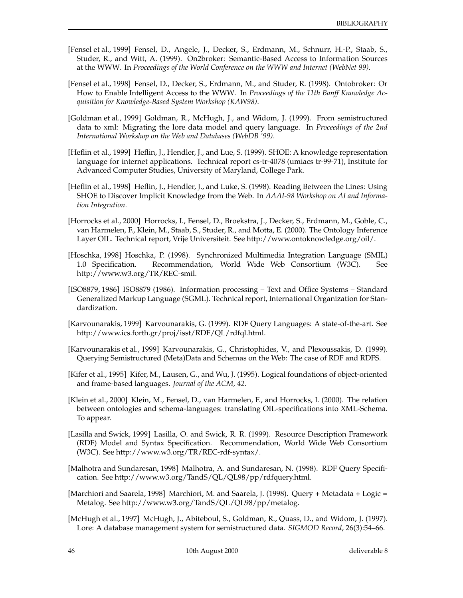- [Fensel et al., 1999] Fensel, D., Angele, J., Decker, S., Erdmann, M., Schnurr, H.-P., Staab, S., Studer, R., and Witt, A. (1999). On2broker: Semantic-Based Access to Information Sources at the WWW. In *Proceedings of the World Conference on the WWW and Internet (WebNet 99)*.
- [Fensel et al., 1998] Fensel, D., Decker, S., Erdmann, M., and Studer, R. (1998). Ontobroker: Or How to Enable Intelligent Access to the WWW. In *Proceedings of the 11th Banff Knowledge Acquisition for Knowledge-Based System Workshop (KAW98)*.
- [Goldman et al., 1999] Goldman, R., McHugh, J., and Widom, J. (1999). From semistructured data to xml: Migrating the lore data model and query language. In *Proceedings of the 2nd International Workshop on the Web and Databases (WebDB '99)*.
- [Heflin et al., 1999] Heflin, J., Hendler, J., and Lue, S. (1999). SHOE: A knowledge representation language for internet applications. Technical report cs-tr-4078 (umiacs tr-99-71), Institute for Advanced Computer Studies, University of Maryland, College Park.
- [Heflin et al., 1998] Heflin, J., Hendler, J., and Luke, S. (1998). Reading Between the Lines: Using SHOE to Discover Implicit Knowledge from the Web. In *AAAI-98 Workshop on AI and Information Integration*.
- [Horrocks et al., 2000] Horrocks, I., Fensel, D., Broekstra, J., Decker, S., Erdmann, M., Goble, C., van Harmelen, F., Klein, M., Staab, S., Studer, R., and Motta, E. (2000). The Ontology Inference Layer OIL. Technical report, Vrije Universiteit. See http://www.ontoknowledge.org/oil/.
- [Hoschka, 1998] Hoschka, P. (1998). Synchronized Multimedia Integration Language (SMIL) 1.0 Specification. Recommendation, World Wide Web Consortium (W3C). See http://www.w3.org/TR/REC-smil.
- [ISO8879, 1986] ISO8879 (1986). Information processing Text and Office Systems Standard Generalized Markup Language (SGML). Technical report, International Organization for Standardization.
- [Karvounarakis, 1999] Karvounarakis, G. (1999). RDF Query Languages: A state-of-the-art. See http://www.ics.forth.gr/proj/isst/RDF/QL/rdfql.html.
- [Karvounarakis et al., 1999] Karvounarakis, G., Christophides, V., and Plexoussakis, D. (1999). Querying Semistructured (Meta)Data and Schemas on the Web: The case of RDF and RDFS.
- [Kifer et al., 1995] Kifer, M., Lausen, G., and Wu, J. (1995). Logical foundations of object-oriented and frame-based languages. *Journal of the ACM, 42*.
- [Klein et al., 2000] Klein, M., Fensel, D., van Harmelen, F., and Horrocks, I. (2000). The relation between ontologies and schema-languages: translating OIL-specifications into XML-Schema. To appear.
- [Lasilla and Swick, 1999] Lasilla, O. and Swick, R. R. (1999). Resource Description Framework (RDF) Model and Syntax Specification. Recommendation, World Wide Web Consortium (W3C). See http://www.w3.org/TR/REC-rdf-syntax/.
- [Malhotra and Sundaresan, 1998] Malhotra, A. and Sundaresan, N. (1998). RDF Query Specification. See http://www.w3.org/TandS/QL/QL98/pp/rdfquery.html.
- [Marchiori and Saarela, 1998] Marchiori, M. and Saarela, J. (1998). Query + Metadata + Logic = Metalog. See http://www.w3.org/TandS/QL/QL98/pp/metalog.
- [McHugh et al., 1997] McHugh, J., Abiteboul, S., Goldman, R., Quass, D., and Widom, J. (1997). Lore: A database management system for semistructured data. *SIGMOD Record*, 26(3):54–66.